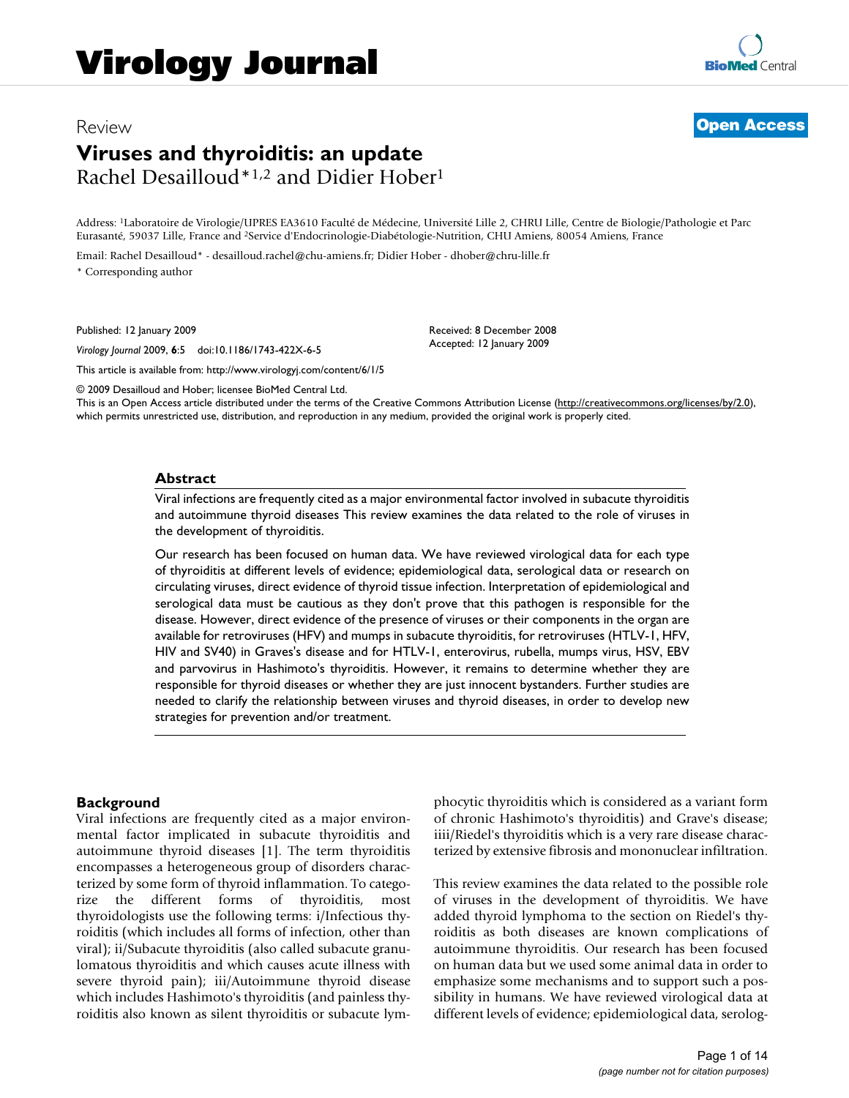# Review **[Open Access](http://www.biomedcentral.com/info/about/charter/) Viruses and thyroiditis: an update** Rachel Desailloud\*1,2 and Didier Hober1

Address: 1Laboratoire de Virologie/UPRES EA3610 Faculté de Médecine, Université Lille 2, CHRU Lille, Centre de Biologie/Pathologie et Parc Eurasanté, 59037 Lille, France and 2Service d'Endocrinologie-Diabétologie-Nutrition, CHU Amiens, 80054 Amiens, France

Email: Rachel Desailloud\* - desailloud.rachel@chu-amiens.fr; Didier Hober - dhober@chru-lille.fr

\* Corresponding author

Published: 12 January 2009

*Virology Journal* 2009, **6**:5 doi:10.1186/1743-422X-6-5

[This article is available from: http://www.virologyj.com/content/6/1/5](http://www.virologyj.com/content/6/1/5)

© 2009 Desailloud and Hober; licensee BioMed Central Ltd.

This is an Open Access article distributed under the terms of the Creative Commons Attribution License [\(http://creativecommons.org/licenses/by/2.0\)](http://creativecommons.org/licenses/by/2.0), which permits unrestricted use, distribution, and reproduction in any medium, provided the original work is properly cited.

Received: 8 December 2008 Accepted: 12 January 2009

#### **Abstract**

Viral infections are frequently cited as a major environmental factor involved in subacute thyroiditis and autoimmune thyroid diseases This review examines the data related to the role of viruses in the development of thyroiditis.

Our research has been focused on human data. We have reviewed virological data for each type of thyroiditis at different levels of evidence; epidemiological data, serological data or research on circulating viruses, direct evidence of thyroid tissue infection. Interpretation of epidemiological and serological data must be cautious as they don't prove that this pathogen is responsible for the disease. However, direct evidence of the presence of viruses or their components in the organ are available for retroviruses (HFV) and mumps in subacute thyroiditis, for retroviruses (HTLV-1, HFV, HIV and SV40) in Graves's disease and for HTLV-1, enterovirus, rubella, mumps virus, HSV, EBV and parvovirus in Hashimoto's thyroiditis. However, it remains to determine whether they are responsible for thyroid diseases or whether they are just innocent bystanders. Further studies are needed to clarify the relationship between viruses and thyroid diseases, in order to develop new strategies for prevention and/or treatment.

#### **Background**

Viral infections are frequently cited as a major environmental factor implicated in subacute thyroiditis and autoimmune thyroid diseases [1]. The term thyroiditis encompasses a heterogeneous group of disorders characterized by some form of thyroid inflammation. To categorize the different forms of thyroiditis, most thyroidologists use the following terms: i/Infectious thyroiditis (which includes all forms of infection, other than viral); ii/Subacute thyroiditis (also called subacute granulomatous thyroiditis and which causes acute illness with severe thyroid pain); iii/Autoimmune thyroid disease which includes Hashimoto's thyroiditis (and painless thyroiditis also known as silent thyroiditis or subacute lymphocytic thyroiditis which is considered as a variant form of chronic Hashimoto's thyroiditis) and Grave's disease; iiii/Riedel's thyroiditis which is a very rare disease characterized by extensive fibrosis and mononuclear infiltration.

This review examines the data related to the possible role of viruses in the development of thyroiditis. We have added thyroid lymphoma to the section on Riedel's thyroiditis as both diseases are known complications of autoimmune thyroiditis. Our research has been focused on human data but we used some animal data in order to emphasize some mechanisms and to support such a possibility in humans. We have reviewed virological data at different levels of evidence; epidemiological data, serolog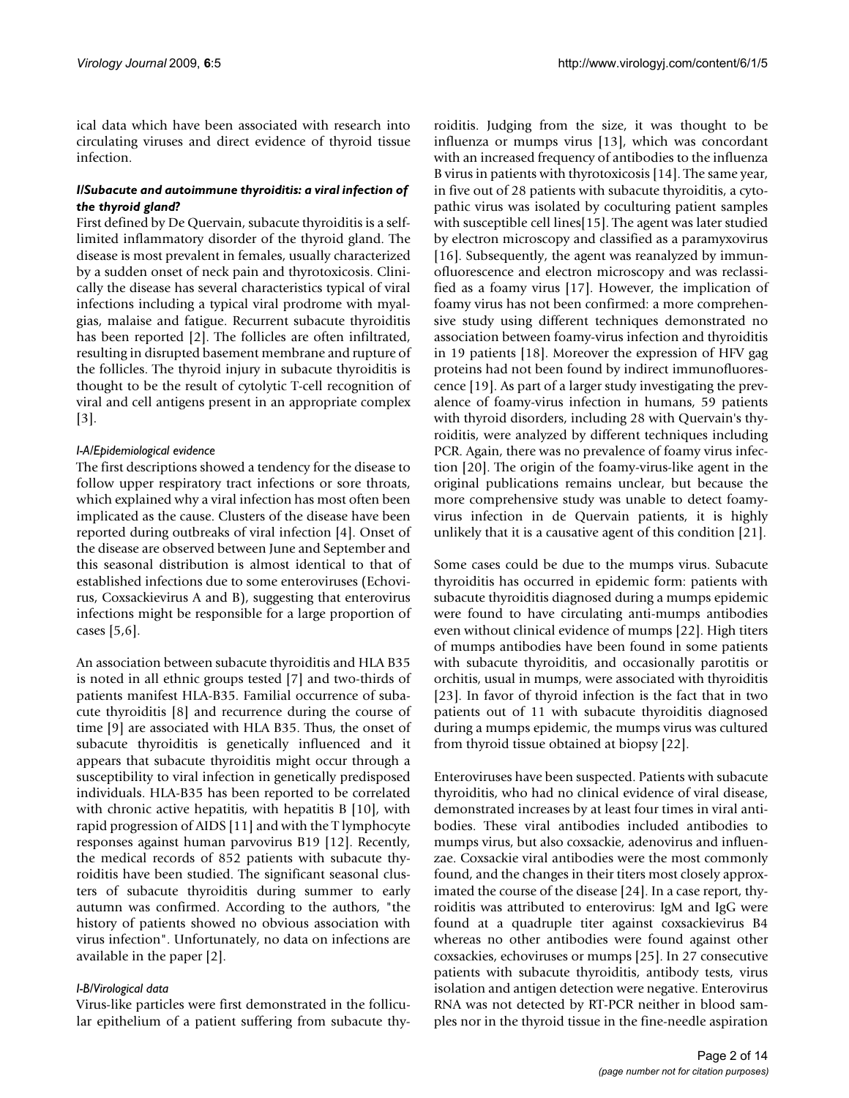ical data which have been associated with research into circulating viruses and direct evidence of thyroid tissue infection.

# *I/Subacute and autoimmune thyroiditis: a viral infection of the thyroid gland?*

First defined by De Quervain, subacute thyroiditis is a selflimited inflammatory disorder of the thyroid gland. The disease is most prevalent in females, usually characterized by a sudden onset of neck pain and thyrotoxicosis. Clinically the disease has several characteristics typical of viral infections including a typical viral prodrome with myalgias, malaise and fatigue. Recurrent subacute thyroiditis has been reported [2]. The follicles are often infiltrated, resulting in disrupted basement membrane and rupture of the follicles. The thyroid injury in subacute thyroiditis is thought to be the result of cytolytic T-cell recognition of viral and cell antigens present in an appropriate complex [3].

## *I-A/Epidemiological evidence*

The first descriptions showed a tendency for the disease to follow upper respiratory tract infections or sore throats, which explained why a viral infection has most often been implicated as the cause. Clusters of the disease have been reported during outbreaks of viral infection [4]. Onset of the disease are observed between June and September and this seasonal distribution is almost identical to that of established infections due to some enteroviruses (Echovirus, Coxsackievirus A and B), suggesting that enterovirus infections might be responsible for a large proportion of cases [5,6].

An association between subacute thyroiditis and HLA B35 is noted in all ethnic groups tested [7] and two-thirds of patients manifest HLA-B35. Familial occurrence of subacute thyroiditis [8] and recurrence during the course of time [9] are associated with HLA B35. Thus, the onset of subacute thyroiditis is genetically influenced and it appears that subacute thyroiditis might occur through a susceptibility to viral infection in genetically predisposed individuals. HLA-B35 has been reported to be correlated with chronic active hepatitis, with hepatitis B [10], with rapid progression of AIDS [11] and with the T lymphocyte responses against human parvovirus B19 [12]. Recently, the medical records of 852 patients with subacute thyroiditis have been studied. The significant seasonal clusters of subacute thyroiditis during summer to early autumn was confirmed. According to the authors, "the history of patients showed no obvious association with virus infection". Unfortunately, no data on infections are available in the paper [2].

## *I-B/Virological data*

Virus-like particles were first demonstrated in the follicular epithelium of a patient suffering from subacute thyroiditis. Judging from the size, it was thought to be influenza or mumps virus [13], which was concordant with an increased frequency of antibodies to the influenza B virus in patients with thyrotoxicosis [14]. The same year, in five out of 28 patients with subacute thyroiditis, a cytopathic virus was isolated by coculturing patient samples with susceptible cell lines[15]. The agent was later studied by electron microscopy and classified as a paramyxovirus [16]. Subsequently, the agent was reanalyzed by immunofluorescence and electron microscopy and was reclassified as a foamy virus [17]. However, the implication of foamy virus has not been confirmed: a more comprehensive study using different techniques demonstrated no association between foamy-virus infection and thyroiditis in 19 patients [18]. Moreover the expression of HFV gag proteins had not been found by indirect immunofluorescence [19]. As part of a larger study investigating the prevalence of foamy-virus infection in humans, 59 patients with thyroid disorders, including 28 with Quervain's thyroiditis, were analyzed by different techniques including PCR. Again, there was no prevalence of foamy virus infection [20]. The origin of the foamy-virus-like agent in the original publications remains unclear, but because the more comprehensive study was unable to detect foamyvirus infection in de Quervain patients, it is highly unlikely that it is a causative agent of this condition [21].

Some cases could be due to the mumps virus. Subacute thyroiditis has occurred in epidemic form: patients with subacute thyroiditis diagnosed during a mumps epidemic were found to have circulating anti-mumps antibodies even without clinical evidence of mumps [22]. High titers of mumps antibodies have been found in some patients with subacute thyroiditis, and occasionally parotitis or orchitis, usual in mumps, were associated with thyroiditis [23]. In favor of thyroid infection is the fact that in two patients out of 11 with subacute thyroiditis diagnosed during a mumps epidemic, the mumps virus was cultured from thyroid tissue obtained at biopsy [22].

Enteroviruses have been suspected. Patients with subacute thyroiditis, who had no clinical evidence of viral disease, demonstrated increases by at least four times in viral antibodies. These viral antibodies included antibodies to mumps virus, but also coxsackie, adenovirus and influenzae. Coxsackie viral antibodies were the most commonly found, and the changes in their titers most closely approximated the course of the disease [24]. In a case report, thyroiditis was attributed to enterovirus: IgM and IgG were found at a quadruple titer against coxsackievirus B4 whereas no other antibodies were found against other coxsackies, echoviruses or mumps [25]. In 27 consecutive patients with subacute thyroiditis, antibody tests, virus isolation and antigen detection were negative. Enterovirus RNA was not detected by RT-PCR neither in blood samples nor in the thyroid tissue in the fine-needle aspiration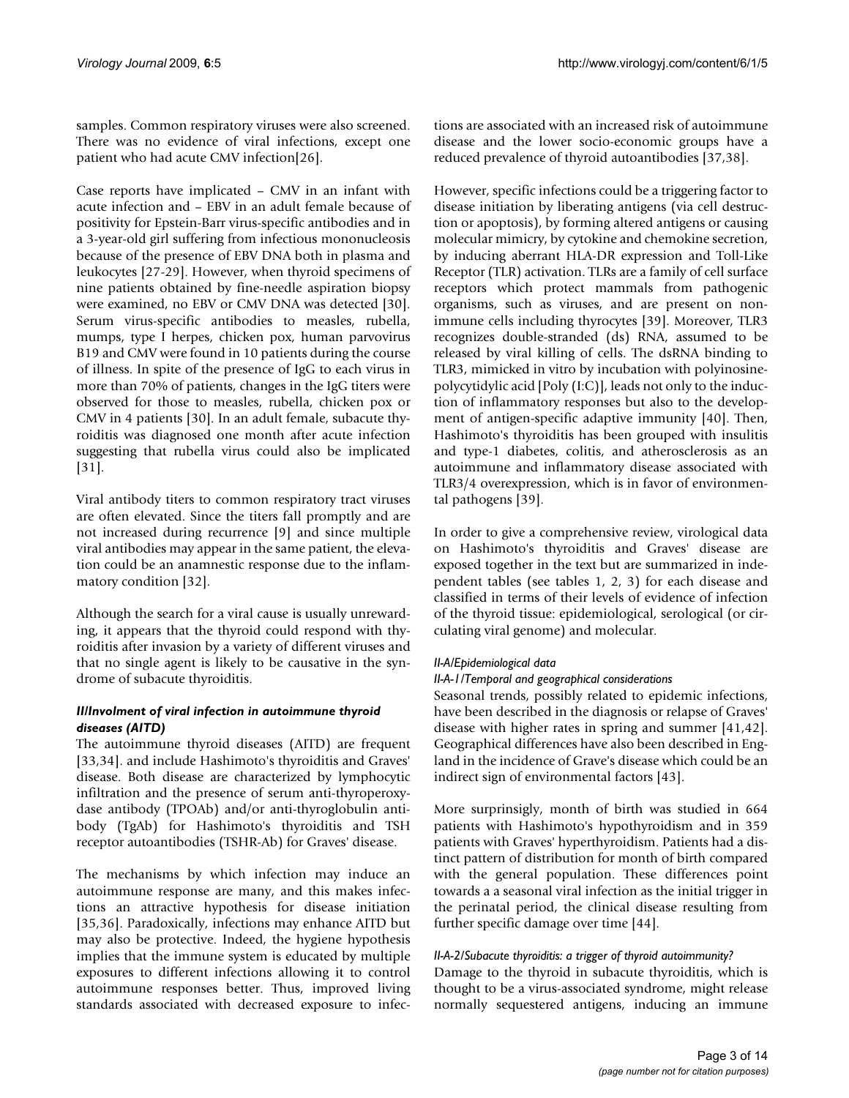samples. Common respiratory viruses were also screened. There was no evidence of viral infections, except one patient who had acute CMV infection[26].

Case reports have implicated – CMV in an infant with acute infection and – EBV in an adult female because of positivity for Epstein-Barr virus-specific antibodies and in a 3-year-old girl suffering from infectious mononucleosis because of the presence of EBV DNA both in plasma and leukocytes [27-29]. However, when thyroid specimens of nine patients obtained by fine-needle aspiration biopsy were examined, no EBV or CMV DNA was detected [30]. Serum virus-specific antibodies to measles, rubella, mumps, type I herpes, chicken pox, human parvovirus B19 and CMV were found in 10 patients during the course of illness. In spite of the presence of IgG to each virus in more than 70% of patients, changes in the IgG titers were observed for those to measles, rubella, chicken pox or CMV in 4 patients [30]. In an adult female, subacute thyroiditis was diagnosed one month after acute infection suggesting that rubella virus could also be implicated [31].

Viral antibody titers to common respiratory tract viruses are often elevated. Since the titers fall promptly and are not increased during recurrence [9] and since multiple viral antibodies may appear in the same patient, the elevation could be an anamnestic response due to the inflammatory condition [32].

Although the search for a viral cause is usually unrewarding, it appears that the thyroid could respond with thyroiditis after invasion by a variety of different viruses and that no single agent is likely to be causative in the syndrome of subacute thyroiditis.

# *II/Involment of viral infection in autoimmune thyroid diseases (AITD)*

The autoimmune thyroid diseases (AITD) are frequent [33,34]. and include Hashimoto's thyroiditis and Graves' disease. Both disease are characterized by lymphocytic infiltration and the presence of serum anti-thyroperoxydase antibody (TPOAb) and/or anti-thyroglobulin antibody (TgAb) for Hashimoto's thyroiditis and TSH receptor autoantibodies (TSHR-Ab) for Graves' disease.

The mechanisms by which infection may induce an autoimmune response are many, and this makes infections an attractive hypothesis for disease initiation [35,36]. Paradoxically, infections may enhance AITD but may also be protective. Indeed, the hygiene hypothesis implies that the immune system is educated by multiple exposures to different infections allowing it to control autoimmune responses better. Thus, improved living standards associated with decreased exposure to infections are associated with an increased risk of autoimmune disease and the lower socio-economic groups have a reduced prevalence of thyroid autoantibodies [37,38].

However, specific infections could be a triggering factor to disease initiation by liberating antigens (via cell destruction or apoptosis), by forming altered antigens or causing molecular mimicry, by cytokine and chemokine secretion, by inducing aberrant HLA-DR expression and Toll-Like Receptor (TLR) activation. TLRs are a family of cell surface receptors which protect mammals from pathogenic organisms, such as viruses, and are present on nonimmune cells including thyrocytes [39]. Moreover, TLR3 recognizes double-stranded (ds) RNA, assumed to be released by viral killing of cells. The dsRNA binding to TLR3, mimicked in vitro by incubation with polyinosinepolycytidylic acid [Poly (I:C)], leads not only to the induction of inflammatory responses but also to the development of antigen-specific adaptive immunity [40]. Then, Hashimoto's thyroiditis has been grouped with insulitis and type-1 diabetes, colitis, and atherosclerosis as an autoimmune and inflammatory disease associated with TLR3/4 overexpression, which is in favor of environmental pathogens [39].

In order to give a comprehensive review, virological data on Hashimoto's thyroiditis and Graves' disease are exposed together in the text but are summarized in independent tables (see tables 1, 2, 3) for each disease and classified in terms of their levels of evidence of infection of the thyroid tissue: epidemiological, serological (or circulating viral genome) and molecular.

# *II-A/Epidemiological data*

## *II-A-1/Temporal and geographical considerations*

Seasonal trends, possibly related to epidemic infections, have been described in the diagnosis or relapse of Graves' disease with higher rates in spring and summer [41,42]. Geographical differences have also been described in England in the incidence of Grave's disease which could be an indirect sign of environmental factors [43].

More surprinsigly, month of birth was studied in 664 patients with Hashimoto's hypothyroidism and in 359 patients with Graves' hyperthyroidism. Patients had a distinct pattern of distribution for month of birth compared with the general population. These differences point towards a a seasonal viral infection as the initial trigger in the perinatal period, the clinical disease resulting from further specific damage over time [44].

# *II-A-2/Subacute thyroiditis: a trigger of thyroid autoimmunity?*

Damage to the thyroid in subacute thyroiditis, which is thought to be a virus-associated syndrome, might release normally sequestered antigens, inducing an immune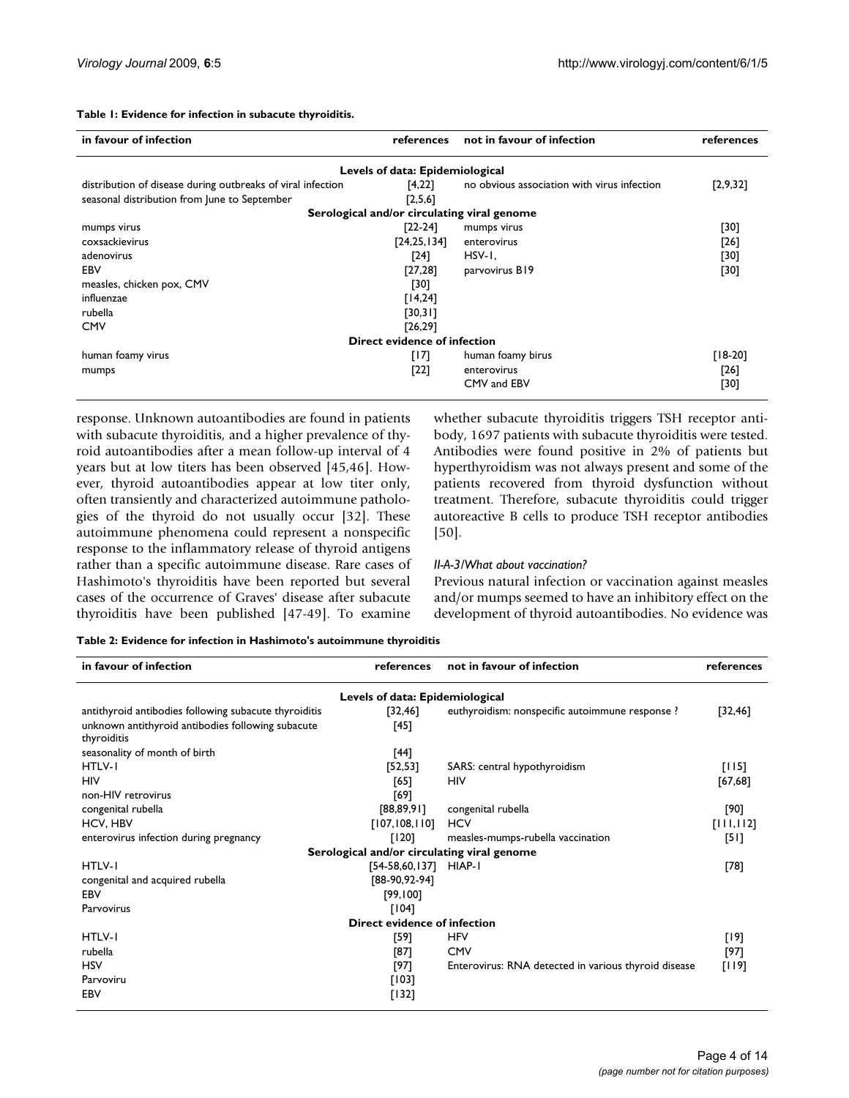| in favour of infection                                      | references    | not in favour of infection                  | references |  |  |  |  |  |
|-------------------------------------------------------------|---------------|---------------------------------------------|------------|--|--|--|--|--|
| Levels of data: Epidemiological                             |               |                                             |            |  |  |  |  |  |
| distribution of disease during outbreaks of viral infection | [4,22]        | no obvious association with virus infection | [2,9,32]   |  |  |  |  |  |
| seasonal distribution from June to September                | [2,5,6]       |                                             |            |  |  |  |  |  |
| Serological and/or circulating viral genome                 |               |                                             |            |  |  |  |  |  |
| mumps virus                                                 | $[22-24]$     | mumps virus                                 | $[30]$     |  |  |  |  |  |
| coxsackievirus                                              | [24, 25, 134] | enterovirus                                 | $[26]$     |  |  |  |  |  |
| adenovirus                                                  | [24]          | HSV-I.                                      | $[30]$     |  |  |  |  |  |
| EBV                                                         | [27, 28]      | parvovirus B19                              | [30]       |  |  |  |  |  |
| measles, chicken pox, CMV                                   | [30]          |                                             |            |  |  |  |  |  |
| influenzae                                                  | [14,24]       |                                             |            |  |  |  |  |  |
| rubella                                                     | [30,31]       |                                             |            |  |  |  |  |  |
| <b>CMV</b>                                                  | [26, 29]      |                                             |            |  |  |  |  |  |
| <b>Direct evidence of infection</b>                         |               |                                             |            |  |  |  |  |  |
| human foamy virus                                           | [17]          | human foamy birus                           | $[18-20]$  |  |  |  |  |  |
| mumps                                                       | $[22]$        | enterovirus                                 | [26]       |  |  |  |  |  |
|                                                             |               | CMV and EBV                                 | [30]       |  |  |  |  |  |
|                                                             |               |                                             |            |  |  |  |  |  |

response. Unknown autoantibodies are found in patients with subacute thyroiditis, and a higher prevalence of thyroid autoantibodies after a mean follow-up interval of 4 years but at low titers has been observed [45,46]. However, thyroid autoantibodies appear at low titer only, often transiently and characterized autoimmune pathologies of the thyroid do not usually occur [32]. These autoimmune phenomena could represent a nonspecific response to the inflammatory release of thyroid antigens rather than a specific autoimmune disease. Rare cases of Hashimoto's thyroiditis have been reported but several cases of the occurrence of Graves' disease after subacute thyroiditis have been published [47-49]. To examine whether subacute thyroiditis triggers TSH receptor antibody, 1697 patients with subacute thyroiditis were tested. Antibodies were found positive in 2% of patients but hyperthyroidism was not always present and some of the patients recovered from thyroid dysfunction without treatment. Therefore, subacute thyroiditis could trigger autoreactive B cells to produce TSH receptor antibodies [50].

#### *II-A-3/What about vaccination?*

Previous natural infection or vaccination against measles and/or mumps seemed to have an inhibitory effect on the development of thyroid autoantibodies. No evidence was

**Table 2: Evidence for infection in Hashimoto's autoimmune thyroiditis**

| in favour of infection                                           | references                                  | not in favour of infection                           | references |  |  |  |  |
|------------------------------------------------------------------|---------------------------------------------|------------------------------------------------------|------------|--|--|--|--|
| Levels of data: Epidemiological                                  |                                             |                                                      |            |  |  |  |  |
| antithyroid antibodies following subacute thyroiditis            | [32, 46]                                    | euthyroidism: nonspecific autoimmune response ?      | [32, 46]   |  |  |  |  |
| unknown antithyroid antibodies following subacute<br>thyroiditis | $[45]$                                      |                                                      |            |  |  |  |  |
| seasonality of month of birth                                    | [44]                                        |                                                      |            |  |  |  |  |
| HTLV-I                                                           | [52, 53]                                    | SARS: central hypothyroidism                         | $[115]$    |  |  |  |  |
| HIV                                                              | [65]                                        | HIV                                                  | [67, 68]   |  |  |  |  |
| non-HIV retrovirus                                               | [69]                                        |                                                      |            |  |  |  |  |
| congenital rubella                                               | [88, 89, 91]                                | congenital rubella                                   | [90]       |  |  |  |  |
| HCV, HBV                                                         | [107, 108, 110]                             | <b>HCV</b>                                           | [111,112]  |  |  |  |  |
| enterovirus infection during pregnancy                           | [120]                                       | measles-mumps-rubella vaccination                    | [51]       |  |  |  |  |
|                                                                  | Serological and/or circulating viral genome |                                                      |            |  |  |  |  |
| HTLV-I                                                           | $[54-58,60,137]$                            | HIAP-I                                               | [78]       |  |  |  |  |
| congenital and acquired rubella                                  | $[88-90, 92-94]$                            |                                                      |            |  |  |  |  |
| EBV                                                              | [99, 100]                                   |                                                      |            |  |  |  |  |
| Parvovirus                                                       | [104]                                       |                                                      |            |  |  |  |  |
|                                                                  | Direct evidence of infection                |                                                      |            |  |  |  |  |
| HTLV-I                                                           | [59]                                        | <b>HFV</b>                                           | [19]       |  |  |  |  |
| rubella                                                          | $[87]$                                      | <b>CMV</b>                                           | $[97]$     |  |  |  |  |
| <b>HSV</b>                                                       | $[97]$                                      | Enterovirus: RNA detected in various thyroid disease | [119]      |  |  |  |  |
| Parvoviru                                                        | [103]                                       |                                                      |            |  |  |  |  |
| EBV                                                              | $[132]$                                     |                                                      |            |  |  |  |  |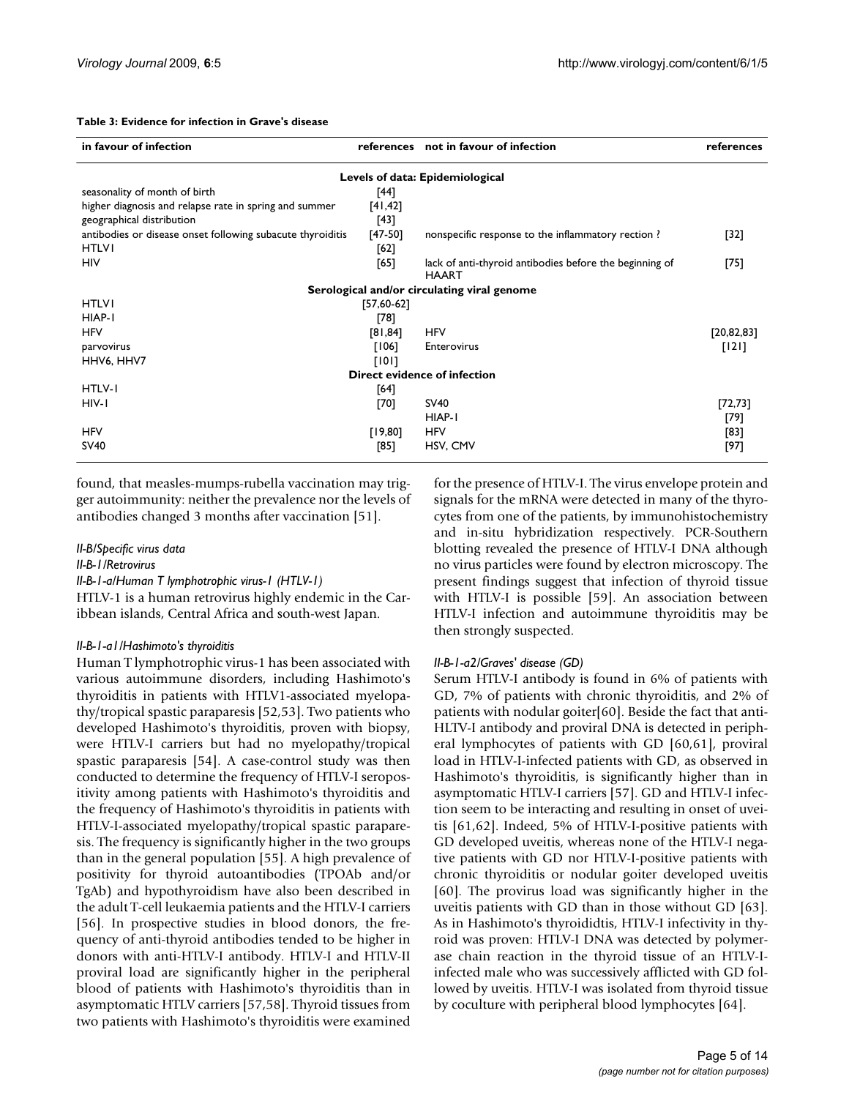| in favour of infection                                     |              | references not in favour of infection                                   | references   |  |  |  |  |  |
|------------------------------------------------------------|--------------|-------------------------------------------------------------------------|--------------|--|--|--|--|--|
| Levels of data: Epidemiological                            |              |                                                                         |              |  |  |  |  |  |
| seasonality of month of birth                              | [44]         |                                                                         |              |  |  |  |  |  |
| higher diagnosis and relapse rate in spring and summer     | [41, 42]     |                                                                         |              |  |  |  |  |  |
| geographical distribution                                  | [43]         |                                                                         |              |  |  |  |  |  |
| antibodies or disease onset following subacute thyroiditis | $[47-50]$    | nonspecific response to the inflammatory rection?                       | $[32]$       |  |  |  |  |  |
| <b>HTLVI</b>                                               | [62]         |                                                                         |              |  |  |  |  |  |
| <b>HIV</b>                                                 | [65]         | lack of anti-thyroid antibodies before the beginning of<br><b>HAART</b> | $[75]$       |  |  |  |  |  |
|                                                            |              | Serological and/or circulating viral genome                             |              |  |  |  |  |  |
| <b>HTLVI</b>                                               | $[57,60-62]$ |                                                                         |              |  |  |  |  |  |
| HIAP-I                                                     | [78]         |                                                                         |              |  |  |  |  |  |
| <b>HFV</b>                                                 | [81, 84]     | HFV                                                                     | [20, 82, 83] |  |  |  |  |  |
| parvovirus                                                 | [106]        | Enterovirus                                                             | [121]        |  |  |  |  |  |
| HHV6, HHV7                                                 | [101]        |                                                                         |              |  |  |  |  |  |
| <b>Direct evidence of infection</b>                        |              |                                                                         |              |  |  |  |  |  |
| HTLV-I                                                     | [64]         |                                                                         |              |  |  |  |  |  |
| HIV-I                                                      | [70]         | SV40                                                                    | [72, 73]     |  |  |  |  |  |
|                                                            |              | HIAP-I                                                                  | [79]         |  |  |  |  |  |
| <b>HFV</b>                                                 | [19, 80]     | <b>HFV</b>                                                              | $[83]$       |  |  |  |  |  |
| <b>SV40</b>                                                | [85]         | HSV, CMV                                                                | [97]         |  |  |  |  |  |

#### **Table 3: Evidence for infection in Grave's disease**

found, that measles-mumps-rubella vaccination may trigger autoimmunity: neither the prevalence nor the levels of antibodies changed 3 months after vaccination [51].

#### *II-B/Specific virus data*

*II-B-1/Retrovirus*

*II-B-1-a/Human T lymphotrophic virus-1 (HTLV-1)*

HTLV-1 is a human retrovirus highly endemic in the Caribbean islands, Central Africa and south-west Japan.

#### *II-B-1-a1/Hashimoto's thyroiditis*

Human T lymphotrophic virus-1 has been associated with various autoimmune disorders, including Hashimoto's thyroiditis in patients with HTLV1-associated myelopathy/tropical spastic paraparesis [52,53]. Two patients who developed Hashimoto's thyroiditis, proven with biopsy, were HTLV-I carriers but had no myelopathy/tropical spastic paraparesis [54]. A case-control study was then conducted to determine the frequency of HTLV-I seropositivity among patients with Hashimoto's thyroiditis and the frequency of Hashimoto's thyroiditis in patients with HTLV-I-associated myelopathy/tropical spastic paraparesis. The frequency is significantly higher in the two groups than in the general population [55]. A high prevalence of positivity for thyroid autoantibodies (TPOAb and/or TgAb) and hypothyroidism have also been described in the adult T-cell leukaemia patients and the HTLV-I carriers [56]. In prospective studies in blood donors, the frequency of anti-thyroid antibodies tended to be higher in donors with anti-HTLV-I antibody. HTLV-I and HTLV-II proviral load are significantly higher in the peripheral blood of patients with Hashimoto's thyroiditis than in asymptomatic HTLV carriers [57,58]. Thyroid tissues from two patients with Hashimoto's thyroiditis were examined

for the presence of HTLV-I. The virus envelope protein and signals for the mRNA were detected in many of the thyrocytes from one of the patients, by immunohistochemistry and in-situ hybridization respectively. PCR-Southern blotting revealed the presence of HTLV-I DNA although no virus particles were found by electron microscopy. The present findings suggest that infection of thyroid tissue with HTLV-I is possible [59]. An association between HTLV-I infection and autoimmune thyroiditis may be then strongly suspected.

#### *II-B-1-a2/Graves' disease (GD)*

Serum HTLV-I antibody is found in 6% of patients with GD, 7% of patients with chronic thyroiditis, and 2% of patients with nodular goiter[60]. Beside the fact that anti-HLTV-I antibody and proviral DNA is detected in peripheral lymphocytes of patients with GD [60,61], proviral load in HTLV-I-infected patients with GD, as observed in Hashimoto's thyroiditis, is significantly higher than in asymptomatic HTLV-I carriers [57]. GD and HTLV-I infection seem to be interacting and resulting in onset of uveitis [61,62]. Indeed, 5% of HTLV-I-positive patients with GD developed uveitis, whereas none of the HTLV-I negative patients with GD nor HTLV-I-positive patients with chronic thyroiditis or nodular goiter developed uveitis [60]. The provirus load was significantly higher in the uveitis patients with GD than in those without GD [63]. As in Hashimoto's thyroididtis, HTLV-I infectivity in thyroid was proven: HTLV-I DNA was detected by polymerase chain reaction in the thyroid tissue of an HTLV-Iinfected male who was successively afflicted with GD followed by uveitis. HTLV-I was isolated from thyroid tissue by coculture with peripheral blood lymphocytes [64].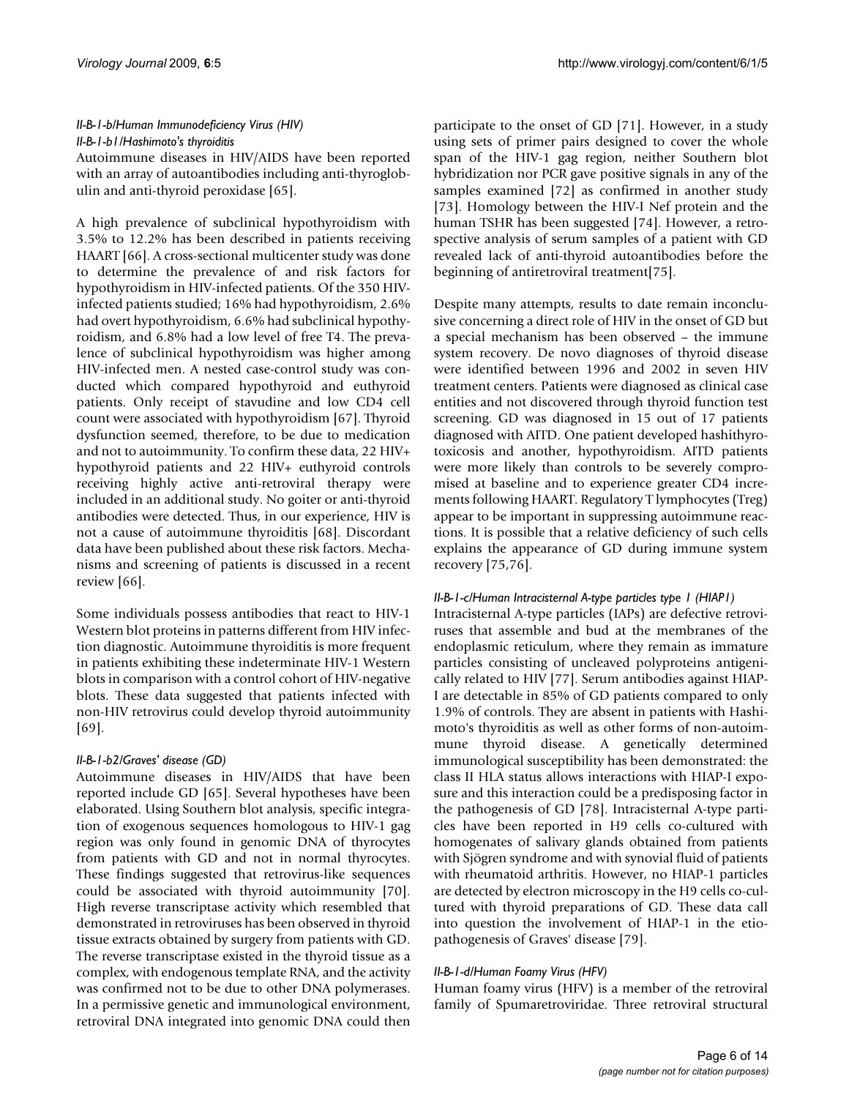#### *II-B-1-b/Human Immunodeficiency Virus (HIV)*

*II-B-1-b1/Hashimoto's thyroiditis*

Autoimmune diseases in HIV/AIDS have been reported with an array of autoantibodies including anti-thyroglobulin and anti-thyroid peroxidase [65].

A high prevalence of subclinical hypothyroidism with 3.5% to 12.2% has been described in patients receiving HAART [66]. A cross-sectional multicenter study was done to determine the prevalence of and risk factors for hypothyroidism in HIV-infected patients. Of the 350 HIVinfected patients studied; 16% had hypothyroidism, 2.6% had overt hypothyroidism, 6.6% had subclinical hypothyroidism, and 6.8% had a low level of free T4. The prevalence of subclinical hypothyroidism was higher among HIV-infected men. A nested case-control study was conducted which compared hypothyroid and euthyroid patients. Only receipt of stavudine and low CD4 cell count were associated with hypothyroidism [67]. Thyroid dysfunction seemed, therefore, to be due to medication and not to autoimmunity. To confirm these data, 22 HIV+ hypothyroid patients and 22 HIV+ euthyroid controls receiving highly active anti-retroviral therapy were included in an additional study. No goiter or anti-thyroid antibodies were detected. Thus, in our experience, HIV is not a cause of autoimmune thyroiditis [68]. Discordant data have been published about these risk factors. Mechanisms and screening of patients is discussed in a recent review [66].

Some individuals possess antibodies that react to HIV-1 Western blot proteins in patterns different from HIV infection diagnostic. Autoimmune thyroiditis is more frequent in patients exhibiting these indeterminate HIV-1 Western blots in comparison with a control cohort of HIV-negative blots. These data suggested that patients infected with non-HIV retrovirus could develop thyroid autoimmunity [69].

## *II-B-1-b2/Graves' disease (GD)*

Autoimmune diseases in HIV/AIDS that have been reported include GD [65]. Several hypotheses have been elaborated. Using Southern blot analysis, specific integration of exogenous sequences homologous to HIV-1 gag region was only found in genomic DNA of thyrocytes from patients with GD and not in normal thyrocytes. These findings suggested that retrovirus-like sequences could be associated with thyroid autoimmunity [70]. High reverse transcriptase activity which resembled that demonstrated in retroviruses has been observed in thyroid tissue extracts obtained by surgery from patients with GD. The reverse transcriptase existed in the thyroid tissue as a complex, with endogenous template RNA, and the activity was confirmed not to be due to other DNA polymerases. In a permissive genetic and immunological environment, retroviral DNA integrated into genomic DNA could then

participate to the onset of GD [71]. However, in a study using sets of primer pairs designed to cover the whole span of the HIV-1 gag region, neither Southern blot hybridization nor PCR gave positive signals in any of the samples examined [72] as confirmed in another study [73]. Homology between the HIV-I Nef protein and the human TSHR has been suggested [74]. However, a retrospective analysis of serum samples of a patient with GD revealed lack of anti-thyroid autoantibodies before the beginning of antiretroviral treatment[75].

Despite many attempts, results to date remain inconclusive concerning a direct role of HIV in the onset of GD but a special mechanism has been observed – the immune system recovery. De novo diagnoses of thyroid disease were identified between 1996 and 2002 in seven HIV treatment centers. Patients were diagnosed as clinical case entities and not discovered through thyroid function test screening. GD was diagnosed in 15 out of 17 patients diagnosed with AITD. One patient developed hashithyrotoxicosis and another, hypothyroidism. AITD patients were more likely than controls to be severely compromised at baseline and to experience greater CD4 increments following HAART. Regulatory T lymphocytes (Treg) appear to be important in suppressing autoimmune reactions. It is possible that a relative deficiency of such cells explains the appearance of GD during immune system recovery [75,76].

#### *II-B-1-c/Human Intracisternal A-type particles type 1 (HIAP1)*

Intracisternal A-type particles (IAPs) are defective retroviruses that assemble and bud at the membranes of the endoplasmic reticulum, where they remain as immature particles consisting of uncleaved polyproteins antigenically related to HIV [77]. Serum antibodies against HIAP-I are detectable in 85% of GD patients compared to only 1.9% of controls. They are absent in patients with Hashimoto's thyroiditis as well as other forms of non-autoimmune thyroid disease. A genetically determined immunological susceptibility has been demonstrated: the class II HLA status allows interactions with HIAP-I exposure and this interaction could be a predisposing factor in the pathogenesis of GD [78]. Intracisternal A-type particles have been reported in H9 cells co-cultured with homogenates of salivary glands obtained from patients with Sjögren syndrome and with synovial fluid of patients with rheumatoid arthritis. However, no HIAP-1 particles are detected by electron microscopy in the H9 cells co-cultured with thyroid preparations of GD. These data call into question the involvement of HIAP-1 in the etiopathogenesis of Graves' disease [79].

## *II-B-1-d/Human Foamy Virus (HFV)*

Human foamy virus (HFV) is a member of the retroviral family of Spumaretroviridae. Three retroviral structural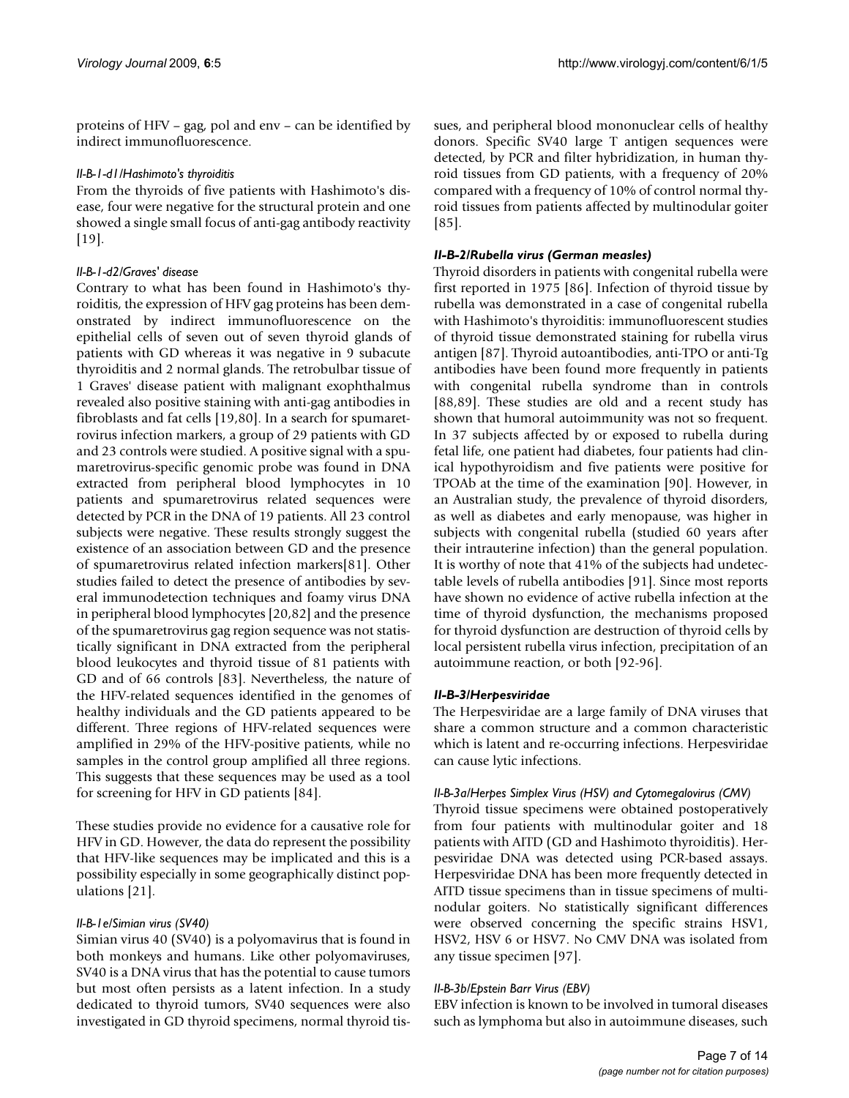proteins of HFV – gag, pol and env – can be identified by indirect immunofluorescence.

#### *II-B-1-d1/Hashimoto's thyroiditis*

From the thyroids of five patients with Hashimoto's disease, four were negative for the structural protein and one showed a single small focus of anti-gag antibody reactivity [19].

# *II-B-1-d2/Graves' disease*

Contrary to what has been found in Hashimoto's thyroiditis, the expression of HFV gag proteins has been demonstrated by indirect immunofluorescence on the epithelial cells of seven out of seven thyroid glands of patients with GD whereas it was negative in 9 subacute thyroiditis and 2 normal glands. The retrobulbar tissue of 1 Graves' disease patient with malignant exophthalmus revealed also positive staining with anti-gag antibodies in fibroblasts and fat cells [19,80]. In a search for spumaretrovirus infection markers, a group of 29 patients with GD and 23 controls were studied. A positive signal with a spumaretrovirus-specific genomic probe was found in DNA extracted from peripheral blood lymphocytes in 10 patients and spumaretrovirus related sequences were detected by PCR in the DNA of 19 patients. All 23 control subjects were negative. These results strongly suggest the existence of an association between GD and the presence of spumaretrovirus related infection markers[81]. Other studies failed to detect the presence of antibodies by several immunodetection techniques and foamy virus DNA in peripheral blood lymphocytes [20,82] and the presence of the spumaretrovirus gag region sequence was not statistically significant in DNA extracted from the peripheral blood leukocytes and thyroid tissue of 81 patients with GD and of 66 controls [83]. Nevertheless, the nature of the HFV-related sequences identified in the genomes of healthy individuals and the GD patients appeared to be different. Three regions of HFV-related sequences were amplified in 29% of the HFV-positive patients, while no samples in the control group amplified all three regions. This suggests that these sequences may be used as a tool for screening for HFV in GD patients [84].

These studies provide no evidence for a causative role for HFV in GD. However, the data do represent the possibility that HFV-like sequences may be implicated and this is a possibility especially in some geographically distinct populations [21].

## *II-B-1e/Simian virus (SV40)*

Simian virus 40 (SV40) is a polyomavirus that is found in both monkeys and humans. Like other polyomaviruses, SV40 is a DNA virus that has the potential to cause tumors but most often persists as a latent infection. In a study dedicated to thyroid tumors, SV40 sequences were also investigated in GD thyroid specimens, normal thyroid tissues, and peripheral blood mononuclear cells of healthy donors. Specific SV40 large T antigen sequences were detected, by PCR and filter hybridization, in human thyroid tissues from GD patients, with a frequency of 20% compared with a frequency of 10% of control normal thyroid tissues from patients affected by multinodular goiter [85].

# *II-B-2/Rubella virus (German measles)*

Thyroid disorders in patients with congenital rubella were first reported in 1975 [86]. Infection of thyroid tissue by rubella was demonstrated in a case of congenital rubella with Hashimoto's thyroiditis: immunofluorescent studies of thyroid tissue demonstrated staining for rubella virus antigen [87]. Thyroid autoantibodies, anti-TPO or anti-Tg antibodies have been found more frequently in patients with congenital rubella syndrome than in controls [88,89]. These studies are old and a recent study has shown that humoral autoimmunity was not so frequent. In 37 subjects affected by or exposed to rubella during fetal life, one patient had diabetes, four patients had clinical hypothyroidism and five patients were positive for TPOAb at the time of the examination [90]. However, in an Australian study, the prevalence of thyroid disorders, as well as diabetes and early menopause, was higher in subjects with congenital rubella (studied 60 years after their intrauterine infection) than the general population. It is worthy of note that 41% of the subjects had undetectable levels of rubella antibodies [91]. Since most reports have shown no evidence of active rubella infection at the time of thyroid dysfunction, the mechanisms proposed for thyroid dysfunction are destruction of thyroid cells by local persistent rubella virus infection, precipitation of an autoimmune reaction, or both [92-96].

## *II-B-3/Herpesviridae*

The Herpesviridae are a large family of DNA viruses that share a common structure and a common characteristic which is latent and re-occurring infections. Herpesviridae can cause lytic infections.

## *II-B-3a/Herpes Simplex Virus (HSV) and Cytomegalovirus (CMV)*

Thyroid tissue specimens were obtained postoperatively from four patients with multinodular goiter and 18 patients with AITD (GD and Hashimoto thyroiditis). Herpesviridae DNA was detected using PCR-based assays. Herpesviridae DNA has been more frequently detected in AITD tissue specimens than in tissue specimens of multinodular goiters. No statistically significant differences were observed concerning the specific strains HSV1, HSV2, HSV 6 or HSV7. No CMV DNA was isolated from any tissue specimen [97].

## *II-B-3b/Epstein Barr Virus (EBV)*

EBV infection is known to be involved in tumoral diseases such as lymphoma but also in autoimmune diseases, such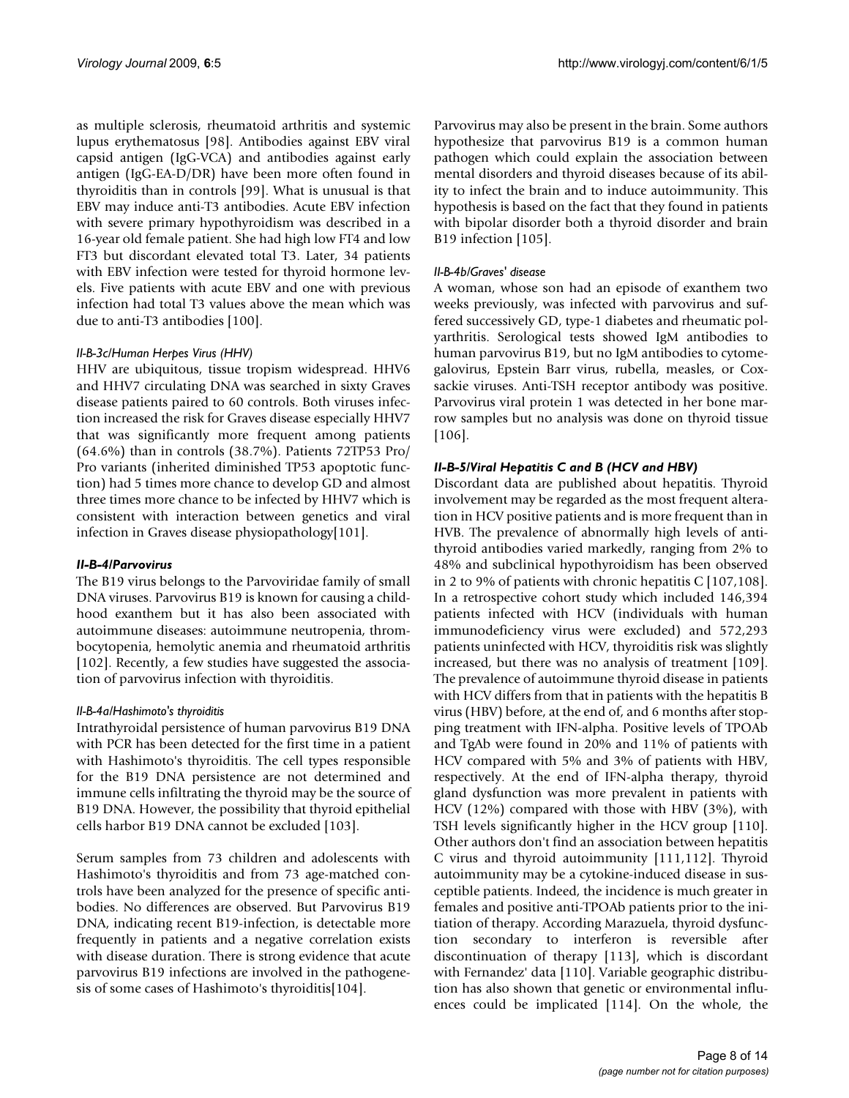as multiple sclerosis, rheumatoid arthritis and systemic lupus erythematosus [98]. Antibodies against EBV viral capsid antigen (IgG-VCA) and antibodies against early antigen (IgG-EA-D/DR) have been more often found in thyroiditis than in controls [99]. What is unusual is that EBV may induce anti-T3 antibodies. Acute EBV infection with severe primary hypothyroidism was described in a 16-year old female patient. She had high low FT4 and low FT3 but discordant elevated total T3. Later, 34 patients with EBV infection were tested for thyroid hormone levels. Five patients with acute EBV and one with previous infection had total T3 values above the mean which was due to anti-T3 antibodies [100].

#### *II-B-3c/Human Herpes Virus (HHV)*

HHV are ubiquitous, tissue tropism widespread. HHV6 and HHV7 circulating DNA was searched in sixty Graves disease patients paired to 60 controls. Both viruses infection increased the risk for Graves disease especially HHV7 that was significantly more frequent among patients (64.6%) than in controls (38.7%). Patients 72TP53 Pro/ Pro variants (inherited diminished TP53 apoptotic function) had 5 times more chance to develop GD and almost three times more chance to be infected by HHV7 which is consistent with interaction between genetics and viral infection in Graves disease physiopathology[101].

#### *II-B-4/Parvovirus*

The B19 virus belongs to the Parvoviridae family of small DNA viruses. Parvovirus B19 is known for causing a childhood exanthem but it has also been associated with autoimmune diseases: autoimmune neutropenia, thrombocytopenia, hemolytic anemia and rheumatoid arthritis [102]. Recently, a few studies have suggested the association of parvovirus infection with thyroiditis.

## *II-B-4a/Hashimoto's thyroiditis*

Intrathyroidal persistence of human parvovirus B19 DNA with PCR has been detected for the first time in a patient with Hashimoto's thyroiditis. The cell types responsible for the B19 DNA persistence are not determined and immune cells infiltrating the thyroid may be the source of B19 DNA. However, the possibility that thyroid epithelial cells harbor B19 DNA cannot be excluded [103].

Serum samples from 73 children and adolescents with Hashimoto's thyroiditis and from 73 age-matched controls have been analyzed for the presence of specific antibodies. No differences are observed. But Parvovirus B19 DNA, indicating recent B19-infection, is detectable more frequently in patients and a negative correlation exists with disease duration. There is strong evidence that acute parvovirus B19 infections are involved in the pathogenesis of some cases of Hashimoto's thyroiditis[104].

Parvovirus may also be present in the brain. Some authors hypothesize that parvovirus B19 is a common human pathogen which could explain the association between mental disorders and thyroid diseases because of its ability to infect the brain and to induce autoimmunity. This hypothesis is based on the fact that they found in patients with bipolar disorder both a thyroid disorder and brain B19 infection [105].

### *II-B-4b/Graves' disease*

A woman, whose son had an episode of exanthem two weeks previously, was infected with parvovirus and suffered successively GD, type-1 diabetes and rheumatic polyarthritis. Serological tests showed IgM antibodies to human parvovirus B19, but no IgM antibodies to cytomegalovirus, Epstein Barr virus, rubella, measles, or Coxsackie viruses. Anti-TSH receptor antibody was positive. Parvovirus viral protein 1 was detected in her bone marrow samples but no analysis was done on thyroid tissue [106].

## *II-B-5/Viral Hepatitis C and B (HCV and HBV)*

Discordant data are published about hepatitis. Thyroid involvement may be regarded as the most frequent alteration in HCV positive patients and is more frequent than in HVB. The prevalence of abnormally high levels of antithyroid antibodies varied markedly, ranging from 2% to 48% and subclinical hypothyroidism has been observed in 2 to 9% of patients with chronic hepatitis C [107,108]. In a retrospective cohort study which included 146,394 patients infected with HCV (individuals with human immunodeficiency virus were excluded) and 572,293 patients uninfected with HCV, thyroiditis risk was slightly increased, but there was no analysis of treatment [109]. The prevalence of autoimmune thyroid disease in patients with HCV differs from that in patients with the hepatitis B virus (HBV) before, at the end of, and 6 months after stopping treatment with IFN-alpha. Positive levels of TPOAb and TgAb were found in 20% and 11% of patients with HCV compared with 5% and 3% of patients with HBV, respectively. At the end of IFN-alpha therapy, thyroid gland dysfunction was more prevalent in patients with HCV (12%) compared with those with HBV (3%), with TSH levels significantly higher in the HCV group [110]. Other authors don't find an association between hepatitis C virus and thyroid autoimmunity [111,112]. Thyroid autoimmunity may be a cytokine-induced disease in susceptible patients. Indeed, the incidence is much greater in females and positive anti-TPOAb patients prior to the initiation of therapy. According Marazuela, thyroid dysfunction secondary to interferon is reversible after discontinuation of therapy [113], which is discordant with Fernandez' data [110]. Variable geographic distribution has also shown that genetic or environmental influences could be implicated [114]. On the whole, the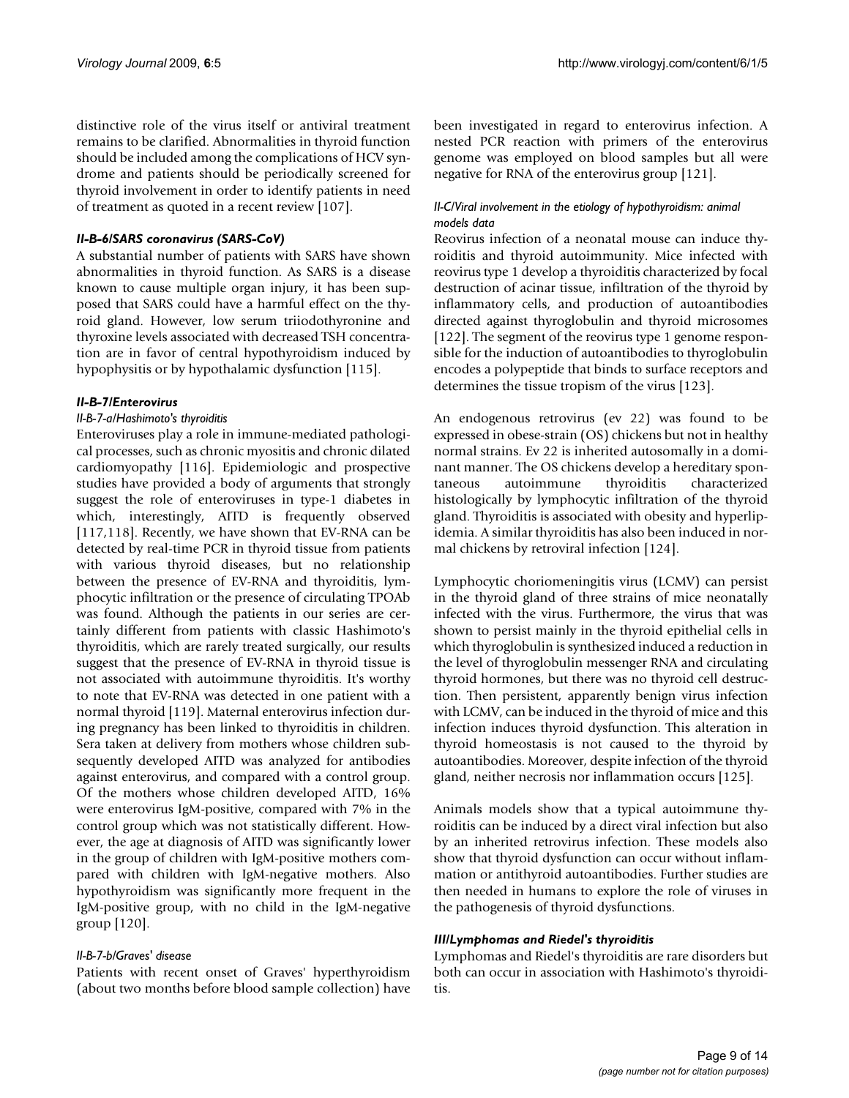distinctive role of the virus itself or antiviral treatment remains to be clarified. Abnormalities in thyroid function should be included among the complications of HCV syndrome and patients should be periodically screened for thyroid involvement in order to identify patients in need of treatment as quoted in a recent review [107].

#### *II-B-6/SARS coronavirus (SARS-CoV)*

A substantial number of patients with SARS have shown abnormalities in thyroid function. As SARS is a disease known to cause multiple organ injury, it has been supposed that SARS could have a harmful effect on the thyroid gland. However, low serum triiodothyronine and thyroxine levels associated with decreased TSH concentration are in favor of central hypothyroidism induced by hypophysitis or by hypothalamic dysfunction [115].

## *II-B-7/Enterovirus*

#### *II-B-7-a/Hashimoto's thyroiditis*

Enteroviruses play a role in immune-mediated pathological processes, such as chronic myositis and chronic dilated cardiomyopathy [116]. Epidemiologic and prospective studies have provided a body of arguments that strongly suggest the role of enteroviruses in type-1 diabetes in which, interestingly, AITD is frequently observed [117,118]. Recently, we have shown that EV-RNA can be detected by real-time PCR in thyroid tissue from patients with various thyroid diseases, but no relationship between the presence of EV-RNA and thyroiditis, lymphocytic infiltration or the presence of circulating TPOAb was found. Although the patients in our series are certainly different from patients with classic Hashimoto's thyroiditis, which are rarely treated surgically, our results suggest that the presence of EV-RNA in thyroid tissue is not associated with autoimmune thyroiditis. It's worthy to note that EV-RNA was detected in one patient with a normal thyroid [119]. Maternal enterovirus infection during pregnancy has been linked to thyroiditis in children. Sera taken at delivery from mothers whose children subsequently developed AITD was analyzed for antibodies against enterovirus, and compared with a control group. Of the mothers whose children developed AITD, 16% were enterovirus IgM-positive, compared with 7% in the control group which was not statistically different. However, the age at diagnosis of AITD was significantly lower in the group of children with IgM-positive mothers compared with children with IgM-negative mothers. Also hypothyroidism was significantly more frequent in the IgM-positive group, with no child in the IgM-negative group [120].

#### *II-B-7-b/Graves' disease*

Patients with recent onset of Graves' hyperthyroidism (about two months before blood sample collection) have been investigated in regard to enterovirus infection. A nested PCR reaction with primers of the enterovirus genome was employed on blood samples but all were negative for RNA of the enterovirus group [121].

### *II-C/Viral involvement in the etiology of hypothyroidism: animal models data*

Reovirus infection of a neonatal mouse can induce thyroiditis and thyroid autoimmunity. Mice infected with reovirus type 1 develop a thyroiditis characterized by focal destruction of acinar tissue, infiltration of the thyroid by inflammatory cells, and production of autoantibodies directed against thyroglobulin and thyroid microsomes [122]. The segment of the reovirus type 1 genome responsible for the induction of autoantibodies to thyroglobulin encodes a polypeptide that binds to surface receptors and determines the tissue tropism of the virus [123].

An endogenous retrovirus (ev 22) was found to be expressed in obese-strain (OS) chickens but not in healthy normal strains. Ev 22 is inherited autosomally in a dominant manner. The OS chickens develop a hereditary spontaneous autoimmune thyroiditis characterized histologically by lymphocytic infiltration of the thyroid gland. Thyroiditis is associated with obesity and hyperlipidemia. A similar thyroiditis has also been induced in normal chickens by retroviral infection [124].

Lymphocytic choriomeningitis virus (LCMV) can persist in the thyroid gland of three strains of mice neonatally infected with the virus. Furthermore, the virus that was shown to persist mainly in the thyroid epithelial cells in which thyroglobulin is synthesized induced a reduction in the level of thyroglobulin messenger RNA and circulating thyroid hormones, but there was no thyroid cell destruction. Then persistent, apparently benign virus infection with LCMV, can be induced in the thyroid of mice and this infection induces thyroid dysfunction. This alteration in thyroid homeostasis is not caused to the thyroid by autoantibodies. Moreover, despite infection of the thyroid gland, neither necrosis nor inflammation occurs [125].

Animals models show that a typical autoimmune thyroiditis can be induced by a direct viral infection but also by an inherited retrovirus infection. These models also show that thyroid dysfunction can occur without inflammation or antithyroid autoantibodies. Further studies are then needed in humans to explore the role of viruses in the pathogenesis of thyroid dysfunctions.

#### *III/Lymphomas and Riedel's thyroiditis*

Lymphomas and Riedel's thyroiditis are rare disorders but both can occur in association with Hashimoto's thyroiditis.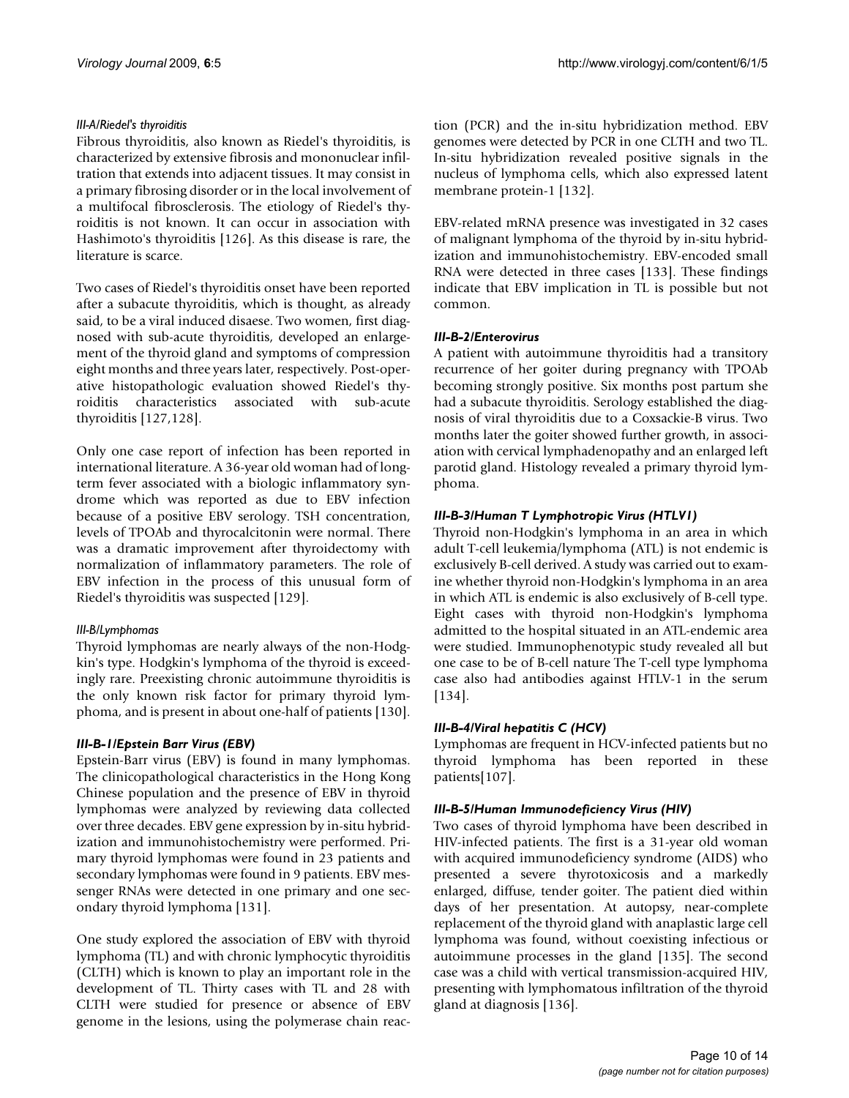#### *III-A/Riedel's thyroiditis*

Fibrous thyroiditis, also known as Riedel's thyroiditis, is characterized by extensive fibrosis and mononuclear infiltration that extends into adjacent tissues. It may consist in a primary fibrosing disorder or in the local involvement of a multifocal fibrosclerosis. The etiology of Riedel's thyroiditis is not known. It can occur in association with Hashimoto's thyroiditis [126]. As this disease is rare, the literature is scarce.

Two cases of Riedel's thyroiditis onset have been reported after a subacute thyroiditis, which is thought, as already said, to be a viral induced disaese. Two women, first diagnosed with sub-acute thyroiditis, developed an enlargement of the thyroid gland and symptoms of compression eight months and three years later, respectively. Post-operative histopathologic evaluation showed Riedel's thyroiditis characteristics associated with sub-acute thyroiditis [127,128].

Only one case report of infection has been reported in international literature. A 36-year old woman had of longterm fever associated with a biologic inflammatory syndrome which was reported as due to EBV infection because of a positive EBV serology. TSH concentration, levels of TPOAb and thyrocalcitonin were normal. There was a dramatic improvement after thyroidectomy with normalization of inflammatory parameters. The role of EBV infection in the process of this unusual form of Riedel's thyroiditis was suspected [129].

## *III-B/Lymphomas*

Thyroid lymphomas are nearly always of the non-Hodgkin's type. Hodgkin's lymphoma of the thyroid is exceedingly rare. Preexisting chronic autoimmune thyroiditis is the only known risk factor for primary thyroid lymphoma, and is present in about one-half of patients [130].

## *III-B-1/Epstein Barr Virus (EBV)*

Epstein-Barr virus (EBV) is found in many lymphomas. The clinicopathological characteristics in the Hong Kong Chinese population and the presence of EBV in thyroid lymphomas were analyzed by reviewing data collected over three decades. EBV gene expression by in-situ hybridization and immunohistochemistry were performed. Primary thyroid lymphomas were found in 23 patients and secondary lymphomas were found in 9 patients. EBV messenger RNAs were detected in one primary and one secondary thyroid lymphoma [131].

One study explored the association of EBV with thyroid lymphoma (TL) and with chronic lymphocytic thyroiditis (CLTH) which is known to play an important role in the development of TL. Thirty cases with TL and 28 with CLTH were studied for presence or absence of EBV genome in the lesions, using the polymerase chain reaction (PCR) and the in-situ hybridization method. EBV genomes were detected by PCR in one CLTH and two TL. In-situ hybridization revealed positive signals in the nucleus of lymphoma cells, which also expressed latent membrane protein-1 [132].

EBV-related mRNA presence was investigated in 32 cases of malignant lymphoma of the thyroid by in-situ hybridization and immunohistochemistry. EBV-encoded small RNA were detected in three cases [133]. These findings indicate that EBV implication in TL is possible but not common.

#### *III-B-2/Enterovirus*

A patient with autoimmune thyroiditis had a transitory recurrence of her goiter during pregnancy with TPOAb becoming strongly positive. Six months post partum she had a subacute thyroiditis. Serology established the diagnosis of viral thyroiditis due to a Coxsackie-B virus. Two months later the goiter showed further growth, in association with cervical lymphadenopathy and an enlarged left parotid gland. Histology revealed a primary thyroid lymphoma.

#### *III-B-3/Human T Lymphotropic Virus (HTLV1)*

Thyroid non-Hodgkin's lymphoma in an area in which adult T-cell leukemia/lymphoma (ATL) is not endemic is exclusively B-cell derived. A study was carried out to examine whether thyroid non-Hodgkin's lymphoma in an area in which ATL is endemic is also exclusively of B-cell type. Eight cases with thyroid non-Hodgkin's lymphoma admitted to the hospital situated in an ATL-endemic area were studied. Immunophenotypic study revealed all but one case to be of B-cell nature The T-cell type lymphoma case also had antibodies against HTLV-1 in the serum [134].

## *III-B-4/Viral hepatitis C (HCV)*

Lymphomas are frequent in HCV-infected patients but no thyroid lymphoma has been reported in these patients[107].

## *III-B-5/Human Immunodeficiency Virus (HIV)*

Two cases of thyroid lymphoma have been described in HIV-infected patients. The first is a 31-year old woman with acquired immunodeficiency syndrome (AIDS) who presented a severe thyrotoxicosis and a markedly enlarged, diffuse, tender goiter. The patient died within days of her presentation. At autopsy, near-complete replacement of the thyroid gland with anaplastic large cell lymphoma was found, without coexisting infectious or autoimmune processes in the gland [135]. The second case was a child with vertical transmission-acquired HIV, presenting with lymphomatous infiltration of the thyroid gland at diagnosis [136].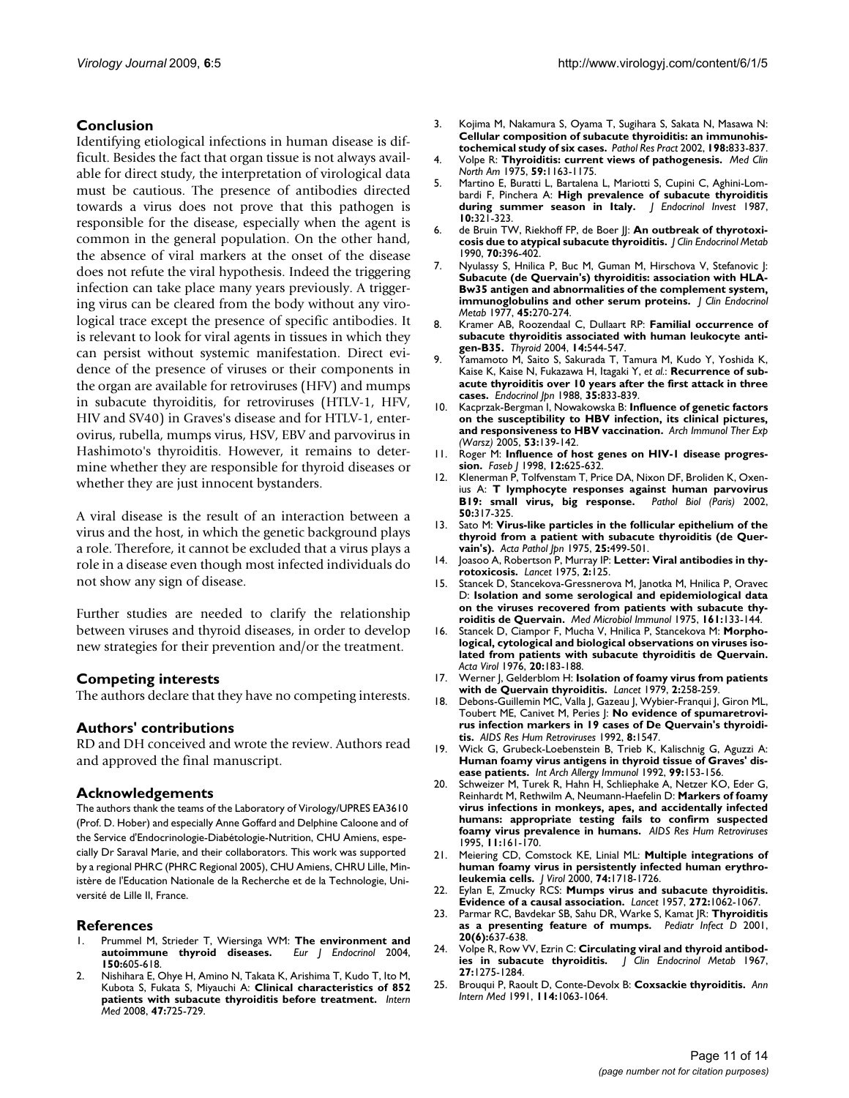### **Conclusion**

Identifying etiological infections in human disease is difficult. Besides the fact that organ tissue is not always available for direct study, the interpretation of virological data must be cautious. The presence of antibodies directed towards a virus does not prove that this pathogen is responsible for the disease, especially when the agent is common in the general population. On the other hand, the absence of viral markers at the onset of the disease does not refute the viral hypothesis. Indeed the triggering infection can take place many years previously. A triggering virus can be cleared from the body without any virological trace except the presence of specific antibodies. It is relevant to look for viral agents in tissues in which they can persist without systemic manifestation. Direct evidence of the presence of viruses or their components in the organ are available for retroviruses (HFV) and mumps in subacute thyroiditis, for retroviruses (HTLV-1, HFV, HIV and SV40) in Graves's disease and for HTLV-1, enterovirus, rubella, mumps virus, HSV, EBV and parvovirus in Hashimoto's thyroiditis. However, it remains to determine whether they are responsible for thyroid diseases or whether they are just innocent bystanders.

A viral disease is the result of an interaction between a virus and the host, in which the genetic background plays a role. Therefore, it cannot be excluded that a virus plays a role in a disease even though most infected individuals do not show any sign of disease.

Further studies are needed to clarify the relationship between viruses and thyroid diseases, in order to develop new strategies for their prevention and/or the treatment.

#### **Competing interests**

The authors declare that they have no competing interests.

#### **Authors' contributions**

RD and DH conceived and wrote the review. Authors read and approved the final manuscript.

#### **Acknowledgements**

The authors thank the teams of the Laboratory of Virology/UPRES EA3610 (Prof. D. Hober) and especially Anne Goffard and Delphine Caloone and of the Service d'Endocrinologie-Diabétologie-Nutrition, CHU Amiens, especially Dr Saraval Marie, and their collaborators. This work was supported by a regional PHRC (PHRC Regional 2005), CHU Amiens, CHRU Lille, Ministère de l'Education Nationale de la Recherche et de la Technologie, Université de Lille II, France.

#### **References**

- Prummel M, Strieder T, Wiersinga WM: **[The environment and](http://www.ncbi.nlm.nih.gov/entrez/query.fcgi?cmd=Retrieve&db=PubMed&dopt=Abstract&list_uids=15132715)**<br>autoimmune thyroid diseases. Eur J Endocrinol 2004, [autoimmune thyroid diseases.](http://www.ncbi.nlm.nih.gov/entrez/query.fcgi?cmd=Retrieve&db=PubMed&dopt=Abstract&list_uids=15132715) **150:**605-618.
- 2. Nishihara E, Ohye H, Amino N, Takata K, Arishima T, Kudo T, Ito M, Kubota S, Fukata S, Miyauchi A: **[Clinical characteristics of 852](http://www.ncbi.nlm.nih.gov/entrez/query.fcgi?cmd=Retrieve&db=PubMed&dopt=Abstract&list_uids=18421188) [patients with subacute thyroiditis before treatment.](http://www.ncbi.nlm.nih.gov/entrez/query.fcgi?cmd=Retrieve&db=PubMed&dopt=Abstract&list_uids=18421188)** *Intern Med* 2008, **47:**725-729.
- 3. Kojima M, Nakamura S, Oyama T, Sugihara S, Sakata N, Masawa N: **[Cellular composition of subacute thyroiditis: an immunohis](http://www.ncbi.nlm.nih.gov/entrez/query.fcgi?cmd=Retrieve&db=PubMed&dopt=Abstract&list_uids=12608662)[tochemical study of six cases.](http://www.ncbi.nlm.nih.gov/entrez/query.fcgi?cmd=Retrieve&db=PubMed&dopt=Abstract&list_uids=12608662)** *Pathol Res Pract* 2002, **198:**833-837.
- 4. Volpe R: **[Thyroiditis: current views of pathogenesis.](http://www.ncbi.nlm.nih.gov/entrez/query.fcgi?cmd=Retrieve&db=PubMed&dopt=Abstract&list_uids=1099362)** *Med Clin North Am* 1975, **59:**1163-1175.
- 5. Martino E, Buratti L, Bartalena L, Mariotti S, Cupini C, Aghini-Lombardi F, Pinchera A: **[High prevalence of subacute thyroiditis](http://www.ncbi.nlm.nih.gov/entrez/query.fcgi?cmd=Retrieve&db=PubMed&dopt=Abstract&list_uids=3624803) [during summer season in Italy.](http://www.ncbi.nlm.nih.gov/entrez/query.fcgi?cmd=Retrieve&db=PubMed&dopt=Abstract&list_uids=3624803)** *J Endocrinol Invest* 1987, **10:**321-323.
- 6. de Bruin TW, Riekhoff FP, de Boer JJ: **[An outbreak of thyrotoxi](http://www.ncbi.nlm.nih.gov/entrez/query.fcgi?cmd=Retrieve&db=PubMed&dopt=Abstract&list_uids=2298855)[cosis due to atypical subacute thyroiditis.](http://www.ncbi.nlm.nih.gov/entrez/query.fcgi?cmd=Retrieve&db=PubMed&dopt=Abstract&list_uids=2298855)** *J Clin Endocrinol Metab* 1990, **70:**396-402.
- 7. Nyulassy S, Hnilica P, Buc M, Guman M, Hirschova V, Stefanovic J: **[Subacute \(de Quervain's\) thyroiditis: association with HLA-](http://www.ncbi.nlm.nih.gov/entrez/query.fcgi?cmd=Retrieve&db=PubMed&dopt=Abstract&list_uids=885992)Bw35 antigen and abnormalities of the complement system, [immunoglobulins and other serum proteins.](http://www.ncbi.nlm.nih.gov/entrez/query.fcgi?cmd=Retrieve&db=PubMed&dopt=Abstract&list_uids=885992)** *J Clin Endocrinol Metab* 1977, **45:**270-274.
- 8. Kramer AB, Roozendaal C, Dullaart RP: **[Familial occurrence of](http://www.ncbi.nlm.nih.gov/entrez/query.fcgi?cmd=Retrieve&db=PubMed&dopt=Abstract&list_uids=15307945) [subacute thyroiditis associated with human leukocyte anti](http://www.ncbi.nlm.nih.gov/entrez/query.fcgi?cmd=Retrieve&db=PubMed&dopt=Abstract&list_uids=15307945)[gen-B35.](http://www.ncbi.nlm.nih.gov/entrez/query.fcgi?cmd=Retrieve&db=PubMed&dopt=Abstract&list_uids=15307945)** *Thyroid* 2004, **14:**544-547.
- 9. Yamamoto M, Saito S, Sakurada T, Tamura M, Kudo Y, Yoshida K, Kaise K, Kaise N, Fukazawa H, Itagaki Y, *et al.*: **[Recurrence of sub](http://www.ncbi.nlm.nih.gov/entrez/query.fcgi?cmd=Retrieve&db=PubMed&dopt=Abstract&list_uids=3250859)[acute thyroiditis over 10 years after the first attack in three](http://www.ncbi.nlm.nih.gov/entrez/query.fcgi?cmd=Retrieve&db=PubMed&dopt=Abstract&list_uids=3250859) [cases.](http://www.ncbi.nlm.nih.gov/entrez/query.fcgi?cmd=Retrieve&db=PubMed&dopt=Abstract&list_uids=3250859)** *Endocrinol Jpn* 1988, **35:**833-839.
- 10. Kacprzak-Bergman I, Nowakowska B: **[Influence of genetic factors](http://www.ncbi.nlm.nih.gov/entrez/query.fcgi?cmd=Retrieve&db=PubMed&dopt=Abstract&list_uids=15928582) [on the susceptibility to HBV infection, its clinical pictures,](http://www.ncbi.nlm.nih.gov/entrez/query.fcgi?cmd=Retrieve&db=PubMed&dopt=Abstract&list_uids=15928582) [and responsiveness to HBV vaccination.](http://www.ncbi.nlm.nih.gov/entrez/query.fcgi?cmd=Retrieve&db=PubMed&dopt=Abstract&list_uids=15928582)** *Arch Immunol Ther Exp (Warsz)* 2005, **53:**139-142.
- 11. Roger M: **[Influence of host genes on HIV-1 disease progres](http://www.ncbi.nlm.nih.gov/entrez/query.fcgi?cmd=Retrieve&db=PubMed&dopt=Abstract&list_uids=9619442)[sion.](http://www.ncbi.nlm.nih.gov/entrez/query.fcgi?cmd=Retrieve&db=PubMed&dopt=Abstract&list_uids=9619442)** *Faseb J* 1998, **12:**625-632.
- 12. Klenerman P, Tolfvenstam T, Price DA, Nixon DF, Broliden K, Oxenius A: **[T lymphocyte responses against human parvovirus](http://www.ncbi.nlm.nih.gov/entrez/query.fcgi?cmd=Retrieve&db=PubMed&dopt=Abstract&list_uids=12116850) [B19: small virus, big response.](http://www.ncbi.nlm.nih.gov/entrez/query.fcgi?cmd=Retrieve&db=PubMed&dopt=Abstract&list_uids=12116850)** *Pathol Biol (Paris)* 2002, **50:**317-325.
- 13. Sato M: **[Virus-like particles in the follicular epithelium of the](http://www.ncbi.nlm.nih.gov/entrez/query.fcgi?cmd=Retrieve&db=PubMed&dopt=Abstract&list_uids=1180050) [thyroid from a patient with subacute thyroiditis \(de Quer](http://www.ncbi.nlm.nih.gov/entrez/query.fcgi?cmd=Retrieve&db=PubMed&dopt=Abstract&list_uids=1180050)[vain's\).](http://www.ncbi.nlm.nih.gov/entrez/query.fcgi?cmd=Retrieve&db=PubMed&dopt=Abstract&list_uids=1180050)** *Acta Pathol Jpn* 1975, **25:**499-501.
- 14. Joasoo A, Robertson P, Murray IP: [Letter: Viral antibodies in thy](http://www.ncbi.nlm.nih.gov/entrez/query.fcgi?cmd=Retrieve&db=PubMed&dopt=Abstract&list_uids=49711)**[rotoxicosis.](http://www.ncbi.nlm.nih.gov/entrez/query.fcgi?cmd=Retrieve&db=PubMed&dopt=Abstract&list_uids=49711)** *Lancet* 1975, **2:**125.
- 15. Stancek D, Stancekova-Gressnerova M, Janotka M, Hnilica P, Oravec D: **[Isolation and some serological and epidemiological data](http://www.ncbi.nlm.nih.gov/entrez/query.fcgi?cmd=Retrieve&db=PubMed&dopt=Abstract&list_uids=806773) [on the viruses recovered from patients with subacute thy](http://www.ncbi.nlm.nih.gov/entrez/query.fcgi?cmd=Retrieve&db=PubMed&dopt=Abstract&list_uids=806773)[roiditis de Quervain.](http://www.ncbi.nlm.nih.gov/entrez/query.fcgi?cmd=Retrieve&db=PubMed&dopt=Abstract&list_uids=806773)** *Med Microbiol Immunol* 1975, **161:**133-144.
- 16. Stancek D, Ciampor F, Mucha V, Hnilica P, Stancekova M: **[Morpho](http://www.ncbi.nlm.nih.gov/entrez/query.fcgi?cmd=Retrieve&db=PubMed&dopt=Abstract&list_uids=9797)logical, cytological and biological observations on viruses iso[lated from patients with subacute thyroiditis de Quervain.](http://www.ncbi.nlm.nih.gov/entrez/query.fcgi?cmd=Retrieve&db=PubMed&dopt=Abstract&list_uids=9797)** *Acta Virol* 1976, **20:**183-188.
- 17. Werner J, Gelderblom H: **[Isolation of foamy virus from patients](http://www.ncbi.nlm.nih.gov/entrez/query.fcgi?cmd=Retrieve&db=PubMed&dopt=Abstract&list_uids=89378) [with de Quervain thyroiditis.](http://www.ncbi.nlm.nih.gov/entrez/query.fcgi?cmd=Retrieve&db=PubMed&dopt=Abstract&list_uids=89378)** *Lancet* 1979, **2:**258-259.
- 18. Debons-Guillemin MC, Valla J, Gazeau J, Wybier-Franqui J, Giron ML, Toubert ME, Canivet M, Peries J: **[No evidence of spumaretrovi](http://www.ncbi.nlm.nih.gov/entrez/query.fcgi?cmd=Retrieve&db=PubMed&dopt=Abstract&list_uids=1333778)[rus infection markers in 19 cases of De Quervain's thyroidi](http://www.ncbi.nlm.nih.gov/entrez/query.fcgi?cmd=Retrieve&db=PubMed&dopt=Abstract&list_uids=1333778)[tis.](http://www.ncbi.nlm.nih.gov/entrez/query.fcgi?cmd=Retrieve&db=PubMed&dopt=Abstract&list_uids=1333778)** *AIDS Res Hum Retroviruses* 1992, **8:**1547.
- 19. Wick G, Grubeck-Loebenstein B, Trieb K, Kalischnig G, Aguzzi A: **[Human foamy virus antigens in thyroid tissue of Graves' dis](http://www.ncbi.nlm.nih.gov/entrez/query.fcgi?cmd=Retrieve&db=PubMed&dopt=Abstract&list_uids=1336420)[ease patients.](http://www.ncbi.nlm.nih.gov/entrez/query.fcgi?cmd=Retrieve&db=PubMed&dopt=Abstract&list_uids=1336420)** *Int Arch Allergy Immunol* 1992, **99:**153-156.
- 20. Schweizer M, Turek R, Hahn H, Schliephake A, Netzer KO, Eder G, Reinhardt M, Rethwilm A, Neumann-Haefelin D: **[Markers of foamy](http://www.ncbi.nlm.nih.gov/entrez/query.fcgi?cmd=Retrieve&db=PubMed&dopt=Abstract&list_uids=7734189) [virus infections in monkeys, apes, and accidentally infected](http://www.ncbi.nlm.nih.gov/entrez/query.fcgi?cmd=Retrieve&db=PubMed&dopt=Abstract&list_uids=7734189) humans: appropriate testing fails to confirm suspected [foamy virus prevalence in humans.](http://www.ncbi.nlm.nih.gov/entrez/query.fcgi?cmd=Retrieve&db=PubMed&dopt=Abstract&list_uids=7734189)** *AIDS Res Hum Retroviruses* 1995, **11:**161-170.
- 21. Meiering CD, Comstock KE, Linial ML: **[Multiple integrations of](http://www.ncbi.nlm.nih.gov/entrez/query.fcgi?cmd=Retrieve&db=PubMed&dopt=Abstract&list_uids=10644342) [human foamy virus in persistently infected human erythro](http://www.ncbi.nlm.nih.gov/entrez/query.fcgi?cmd=Retrieve&db=PubMed&dopt=Abstract&list_uids=10644342)[leukemia cells.](http://www.ncbi.nlm.nih.gov/entrez/query.fcgi?cmd=Retrieve&db=PubMed&dopt=Abstract&list_uids=10644342)** *J Virol* 2000, **74:**1718-1726.
- 22. Eylan E, Zmucky RCS: **[Mumps virus and subacute thyroiditis.](http://www.ncbi.nlm.nih.gov/entrez/query.fcgi?cmd=Retrieve&db=PubMed&dopt=Abstract&list_uids=13429875) [Evidence of a causal association.](http://www.ncbi.nlm.nih.gov/entrez/query.fcgi?cmd=Retrieve&db=PubMed&dopt=Abstract&list_uids=13429875)** *Lancet* 1957, **272:**1062-1067.
- 23. Parmar RC, Bavdekar SB, Sahu DR, Warke S, Kamat JR: **[Thyroiditis](http://www.ncbi.nlm.nih.gov/entrez/query.fcgi?cmd=Retrieve&db=PubMed&dopt=Abstract&list_uids=11419514) [as a presenting feature of mumps.](http://www.ncbi.nlm.nih.gov/entrez/query.fcgi?cmd=Retrieve&db=PubMed&dopt=Abstract&list_uids=11419514)** *Pediatr Infect D* 2001, **20(6):**637-638.
- 24. Volpe R, Row VV, Ezrin C: **[Circulating viral and thyroid antibod](http://www.ncbi.nlm.nih.gov/entrez/query.fcgi?cmd=Retrieve&db=PubMed&dopt=Abstract&list_uids=4292248)[ies in subacute thyroiditis.](http://www.ncbi.nlm.nih.gov/entrez/query.fcgi?cmd=Retrieve&db=PubMed&dopt=Abstract&list_uids=4292248)** *J Clin Endocrinol Metab* 1967, **27:**1275-1284.
- 25. Brouqui P, Raoult D, Conte-Devolx B: **[Coxsackie thyroiditis.](http://www.ncbi.nlm.nih.gov/entrez/query.fcgi?cmd=Retrieve&db=PubMed&dopt=Abstract&list_uids=1851403)** *Ann Intern Med* 1991, **114:**1063-1064.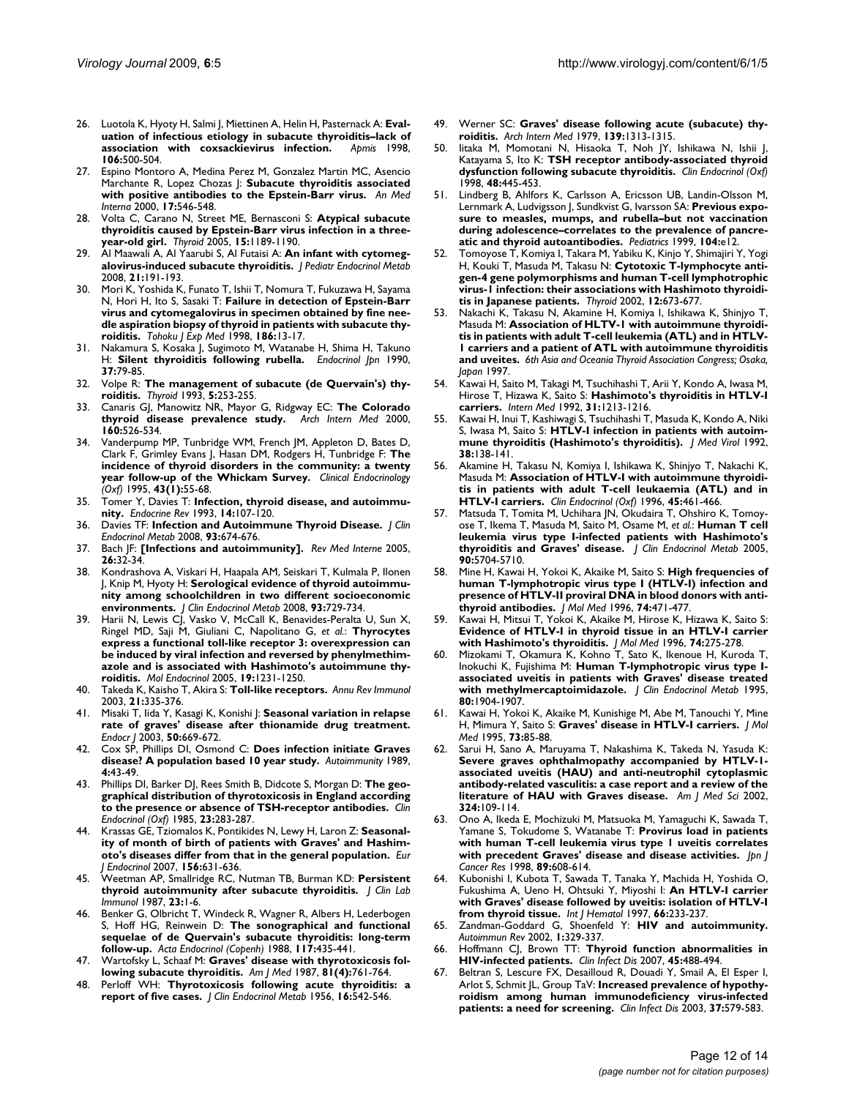- 26. Luotola K, Hyoty H, Salmi J, Miettinen A, Helin H, Pasternack A: **[Eval](http://www.ncbi.nlm.nih.gov/entrez/query.fcgi?cmd=Retrieve&db=PubMed&dopt=Abstract&list_uids=9637274)[uation of infectious etiology in subacute thyroiditis–lack of](http://www.ncbi.nlm.nih.gov/entrez/query.fcgi?cmd=Retrieve&db=PubMed&dopt=Abstract&list_uids=9637274) [association with coxsackievirus infection.](http://www.ncbi.nlm.nih.gov/entrez/query.fcgi?cmd=Retrieve&db=PubMed&dopt=Abstract&list_uids=9637274)** *Apmis* 1998, **106:**500-504.
- 27. Espino Montoro A, Medina Perez M, Gonzalez Martin MC, Asencio Marchante R, Lopez Chozas J: **[Subacute thyroiditis associated](http://www.ncbi.nlm.nih.gov/entrez/query.fcgi?cmd=Retrieve&db=PubMed&dopt=Abstract&list_uids=11109652) [with positive antibodies to the Epstein-Barr virus.](http://www.ncbi.nlm.nih.gov/entrez/query.fcgi?cmd=Retrieve&db=PubMed&dopt=Abstract&list_uids=11109652)** *An Med Interna* 2000, **17:**546-548.
- 28. Volta C, Carano N, Street ME, Bernasconi S: **[Atypical subacute](http://www.ncbi.nlm.nih.gov/entrez/query.fcgi?cmd=Retrieve&db=PubMed&dopt=Abstract&list_uids=16279854) [thyroiditis caused by Epstein-Barr virus infection in a three](http://www.ncbi.nlm.nih.gov/entrez/query.fcgi?cmd=Retrieve&db=PubMed&dopt=Abstract&list_uids=16279854)[year-old girl.](http://www.ncbi.nlm.nih.gov/entrez/query.fcgi?cmd=Retrieve&db=PubMed&dopt=Abstract&list_uids=16279854)** *Thyroid* 2005, **15:**1189-1190.
- 29. Al Maawali A, Al Yaarubi S, Al Futaisi A: **[An infant with cytomeg](http://www.ncbi.nlm.nih.gov/entrez/query.fcgi?cmd=Retrieve&db=PubMed&dopt=Abstract&list_uids=18422033)[alovirus-induced subacute thyroiditis.](http://www.ncbi.nlm.nih.gov/entrez/query.fcgi?cmd=Retrieve&db=PubMed&dopt=Abstract&list_uids=18422033)** *J Pediatr Endocrinol Metab* 2008, **21:**191-193.
- 30. Mori K, Yoshida K, Funato T, Ishii T, Nomura T, Fukuzawa H, Sayama N, Hori H, Ito S, Sasaki T: **[Failure in detection of Epstein-Barr](http://www.ncbi.nlm.nih.gov/entrez/query.fcgi?cmd=Retrieve&db=PubMed&dopt=Abstract&list_uids=9915102) [virus and cytomegalovirus in specimen obtained by fine nee](http://www.ncbi.nlm.nih.gov/entrez/query.fcgi?cmd=Retrieve&db=PubMed&dopt=Abstract&list_uids=9915102)dle aspiration biopsy of thyroid in patients with subacute thy[roiditis.](http://www.ncbi.nlm.nih.gov/entrez/query.fcgi?cmd=Retrieve&db=PubMed&dopt=Abstract&list_uids=9915102)** *Tohoku J Exp Med* 1998, **186:**13-17.
- 31. Nakamura S, Kosaka J, Sugimoto M, Watanabe H, Shima H, Takuno H: **[Silent thyroiditis following rubella.](http://www.ncbi.nlm.nih.gov/entrez/query.fcgi?cmd=Retrieve&db=PubMed&dopt=Abstract&list_uids=2384053)** *Endocrinol Jpn* 1990, **37:**79-85.
- 32. Volpe R: **The management of subacute (de Quervain's) thyroiditis.** *Thyroid* 1993, **5:**253-255.
- 33. Canaris GJ, Manowitz NR, Mayor G, Ridgway EC: **[The Colorado](http://www.ncbi.nlm.nih.gov/entrez/query.fcgi?cmd=Retrieve&db=PubMed&dopt=Abstract&list_uids=10695693) [thyroid disease prevalence study.](http://www.ncbi.nlm.nih.gov/entrez/query.fcgi?cmd=Retrieve&db=PubMed&dopt=Abstract&list_uids=10695693)** *Arch Intern Med* 2000, **160:**526-534.
- 34. Vanderpump MP, Tunbridge WM, French JM, Appleton D, Bates D, Clark F, Grimley Evans J, Hasan DM, Rodgers H, Tunbridge F: **[The](http://www.ncbi.nlm.nih.gov/entrez/query.fcgi?cmd=Retrieve&db=PubMed&dopt=Abstract&list_uids=7641412) [incidence of thyroid disorders in the community: a twenty](http://www.ncbi.nlm.nih.gov/entrez/query.fcgi?cmd=Retrieve&db=PubMed&dopt=Abstract&list_uids=7641412) [year follow-up of the Whickam Survey.](http://www.ncbi.nlm.nih.gov/entrez/query.fcgi?cmd=Retrieve&db=PubMed&dopt=Abstract&list_uids=7641412)** *Clinical Endocrinology (Oxf)* 1995, **43(1):**55-68.
- 35. Tomer Y, Davies T: **Infection, thyroid disease, and autoimmunity.** *Endocrine Rev* 1993, **14:**107-120.
- 36. Davies TF: **[Infection and Autoimmune Thyroid Disease.](http://www.ncbi.nlm.nih.gov/entrez/query.fcgi?cmd=Retrieve&db=PubMed&dopt=Abstract&list_uids=18326006)** *J Clin Endocrinol Metab* 2008, **93:**674-676.
- 37. Bach JF: **[\[Infections and autoimmunity\].](http://www.ncbi.nlm.nih.gov/entrez/query.fcgi?cmd=Retrieve&db=PubMed&dopt=Abstract&list_uids=16475262)** *Rev Med Interne* 2005, **26:**32-34.
- 38. Kondrashova A, Viskari H, Haapala AM, Seiskari T, Kulmala P, Ilonen J, Knip M, Hyoty H: **[Serological evidence of thyroid autoimmu](http://www.ncbi.nlm.nih.gov/entrez/query.fcgi?cmd=Retrieve&db=PubMed&dopt=Abstract&list_uids=18073310)[nity among schoolchildren in two different socioeconomic](http://www.ncbi.nlm.nih.gov/entrez/query.fcgi?cmd=Retrieve&db=PubMed&dopt=Abstract&list_uids=18073310) [environments.](http://www.ncbi.nlm.nih.gov/entrez/query.fcgi?cmd=Retrieve&db=PubMed&dopt=Abstract&list_uids=18073310)** *J Clin Endocrinol Metab* 2008, **93:**729-734.
- 39. Harii N, Lewis CJ, Vasko V, McCall K, Benavides-Peralta U, Sun X, Ringel MD, Saji M, Giuliani C, Napolitano G, *et al.*: **[Thyrocytes](http://www.ncbi.nlm.nih.gov/entrez/query.fcgi?cmd=Retrieve&db=PubMed&dopt=Abstract&list_uids=15661832) [express a functional toll-like receptor 3: overexpression can](http://www.ncbi.nlm.nih.gov/entrez/query.fcgi?cmd=Retrieve&db=PubMed&dopt=Abstract&list_uids=15661832) be induced by viral infection and reversed by phenylmethimazole and is associated with Hashimoto's autoimmune thy[roiditis.](http://www.ncbi.nlm.nih.gov/entrez/query.fcgi?cmd=Retrieve&db=PubMed&dopt=Abstract&list_uids=15661832)** *Mol Endocrinol* 2005, **19:**1231-1250.
- 40. Takeda K, Kaisho T, Akira S: **[Toll-like receptors.](http://www.ncbi.nlm.nih.gov/entrez/query.fcgi?cmd=Retrieve&db=PubMed&dopt=Abstract&list_uids=12524386)** *Annu Rev Immunol* 2003, **21:**335-376.
- 41. Misaki T, Iida Y, Kasagi K, Konishi J: **[Seasonal variation in relapse](http://www.ncbi.nlm.nih.gov/entrez/query.fcgi?cmd=Retrieve&db=PubMed&dopt=Abstract&list_uids=14709836) [rate of graves' disease after thionamide drug treatment.](http://www.ncbi.nlm.nih.gov/entrez/query.fcgi?cmd=Retrieve&db=PubMed&dopt=Abstract&list_uids=14709836)** *Endocr J* 2003, **50:**669-672.
- 42. Cox SP, Phillips DI, Osmond C: **[Does infection initiate Graves](http://www.ncbi.nlm.nih.gov/entrez/query.fcgi?cmd=Retrieve&db=PubMed&dopt=Abstract&list_uids=2491641) [disease? A population based 10 year study.](http://www.ncbi.nlm.nih.gov/entrez/query.fcgi?cmd=Retrieve&db=PubMed&dopt=Abstract&list_uids=2491641)** *Autoimmunity* 1989, **4:**43-49.
- 43. Phillips DI, Barker DJ, Rees Smith B, Didcote S, Morgan D: **[The geo](http://www.ncbi.nlm.nih.gov/entrez/query.fcgi?cmd=Retrieve&db=PubMed&dopt=Abstract&list_uids=3000650)[graphical distribution of thyrotoxicosis in England according](http://www.ncbi.nlm.nih.gov/entrez/query.fcgi?cmd=Retrieve&db=PubMed&dopt=Abstract&list_uids=3000650) [to the presence or absence of TSH-receptor antibodies.](http://www.ncbi.nlm.nih.gov/entrez/query.fcgi?cmd=Retrieve&db=PubMed&dopt=Abstract&list_uids=3000650)** *Clin Endocrinol (Oxf)* 1985, **23:**283-287.
- 44. Krassas GE, Tziomalos K, Pontikides N, Lewy H, Laron Z: **[Seasonal](http://www.ncbi.nlm.nih.gov/entrez/query.fcgi?cmd=Retrieve&db=PubMed&dopt=Abstract&list_uids=17535862)[ity of month of birth of patients with Graves' and Hashim](http://www.ncbi.nlm.nih.gov/entrez/query.fcgi?cmd=Retrieve&db=PubMed&dopt=Abstract&list_uids=17535862)[oto's diseases differ from that in the general population.](http://www.ncbi.nlm.nih.gov/entrez/query.fcgi?cmd=Retrieve&db=PubMed&dopt=Abstract&list_uids=17535862)** *Eur J Endocrinol* 2007, **156:**631-636.
- 45. Weetman AP, Smallridge RC, Nutman TB, Burman KD: **[Persistent](http://www.ncbi.nlm.nih.gov/entrez/query.fcgi?cmd=Retrieve&db=PubMed&dopt=Abstract&list_uids=2441062) [thyroid autoimmunity after subacute thyroiditis.](http://www.ncbi.nlm.nih.gov/entrez/query.fcgi?cmd=Retrieve&db=PubMed&dopt=Abstract&list_uids=2441062)** *J Clin Lab Immunol* 1987, **23:**1-6.
- Benker G, Olbricht T, Windeck R, Wagner R, Albers H, Lederbogen S, Hoff HG, Reinwein D: **[The sonographical and functional](http://www.ncbi.nlm.nih.gov/entrez/query.fcgi?cmd=Retrieve&db=PubMed&dopt=Abstract&list_uids=3291524) [sequelae of de Quervain's subacute thyroiditis: long-term](http://www.ncbi.nlm.nih.gov/entrez/query.fcgi?cmd=Retrieve&db=PubMed&dopt=Abstract&list_uids=3291524) [follow-up.](http://www.ncbi.nlm.nih.gov/entrez/query.fcgi?cmd=Retrieve&db=PubMed&dopt=Abstract&list_uids=3291524)** *Acta Endocrinol (Copenh)* 1988, **117:**435-441.
- 47. Wartofsky L, Schaaf M: **[Graves' disease with thyrotoxicosis fol](http://www.ncbi.nlm.nih.gov/entrez/query.fcgi?cmd=Retrieve&db=PubMed&dopt=Abstract&list_uids=3674062)[lowing subacute thyroiditis.](http://www.ncbi.nlm.nih.gov/entrez/query.fcgi?cmd=Retrieve&db=PubMed&dopt=Abstract&list_uids=3674062)** *Am J Med* 1987, **81(4):**761-764.
- 48. Perloff WH: **[Thyrotoxicosis following acute thyroiditis: a](http://www.ncbi.nlm.nih.gov/entrez/query.fcgi?cmd=Retrieve&db=PubMed&dopt=Abstract&list_uids=13306772) [report of five cases.](http://www.ncbi.nlm.nih.gov/entrez/query.fcgi?cmd=Retrieve&db=PubMed&dopt=Abstract&list_uids=13306772)** *J Clin Endocrinol Metab* 1956, **16:**542-546.
- 49. Werner SC: **[Graves' disease following acute \(subacute\) thy](http://www.ncbi.nlm.nih.gov/entrez/query.fcgi?cmd=Retrieve&db=PubMed&dopt=Abstract&list_uids=583118)[roiditis.](http://www.ncbi.nlm.nih.gov/entrez/query.fcgi?cmd=Retrieve&db=PubMed&dopt=Abstract&list_uids=583118)** *Arch Intern Med* 1979, **139:**1313-1315.
- 50. Iitaka M, Momotani N, Hisaoka T, Noh JY, Ishikawa N, Ishii J, Katayama S, Ito K: **[TSH receptor antibody-associated thyroid](http://www.ncbi.nlm.nih.gov/entrez/query.fcgi?cmd=Retrieve&db=PubMed&dopt=Abstract&list_uids=9640411) [dysfunction following subacute thyroiditis.](http://www.ncbi.nlm.nih.gov/entrez/query.fcgi?cmd=Retrieve&db=PubMed&dopt=Abstract&list_uids=9640411)** *Clin Endocrinol (Oxf)* 1998, **48:**445-453.
- 51. Lindberg B, Ahlfors K, Carlsson A, Ericsson UB, Landin-Olsson M, Lernmark A, Ludvigsson J, Sundkvist G, Ivarsson SA: **[Previous expo](http://www.ncbi.nlm.nih.gov/entrez/query.fcgi?cmd=Retrieve&db=PubMed&dopt=Abstract&list_uids=10390298)[sure to measles, mumps, and rubella–but not vaccination](http://www.ncbi.nlm.nih.gov/entrez/query.fcgi?cmd=Retrieve&db=PubMed&dopt=Abstract&list_uids=10390298) during adolescence–correlates to the prevalence of pancre[atic and thyroid autoantibodies.](http://www.ncbi.nlm.nih.gov/entrez/query.fcgi?cmd=Retrieve&db=PubMed&dopt=Abstract&list_uids=10390298)** *Pediatrics* 1999, **104:**e12.
- 52. Tomoyose T, Komiya I, Takara M, Yabiku K, Kinjo Y, Shimajiri Y, Yogi H, Kouki T, Masuda M, Takasu N: **[Cytotoxic T-lymphocyte anti](http://www.ncbi.nlm.nih.gov/entrez/query.fcgi?cmd=Retrieve&db=PubMed&dopt=Abstract&list_uids=12225635)[gen-4 gene polymorphisms and human T-cell lymphotrophic](http://www.ncbi.nlm.nih.gov/entrez/query.fcgi?cmd=Retrieve&db=PubMed&dopt=Abstract&list_uids=12225635) virus-1 infection: their associations with Hashimoto thyroidi[tis in Japanese patients.](http://www.ncbi.nlm.nih.gov/entrez/query.fcgi?cmd=Retrieve&db=PubMed&dopt=Abstract&list_uids=12225635)** *Thyroid* 2002, **12:**673-677.
- 53. Nakachi K, Takasu N, Akamine H, Komiya I, Ishikawa K, Shinjyo T, Masuda M: **Association of HLTV-1 with autoimmune thyroiditis in patients with adult T-cell leukemia (ATL) and in HTLV-1 carriers and a patient of ATL with autoimmune thyroiditis and uveites.** *6th Asia and Oceania Thyroid Association Congress; Osaka, Japan* 1997.
- 54. Kawai H, Saito M, Takagi M, Tsuchihashi T, Arii Y, Kondo A, Iwasa M, Hirose T, Hizawa K, Saito S: **[Hashimoto's thyroiditis in HTLV-I](http://www.ncbi.nlm.nih.gov/entrez/query.fcgi?cmd=Retrieve&db=PubMed&dopt=Abstract&list_uids=1286230) [carriers.](http://www.ncbi.nlm.nih.gov/entrez/query.fcgi?cmd=Retrieve&db=PubMed&dopt=Abstract&list_uids=1286230)** *Intern Med* 1992, **31:**1213-1216.
- 55. Kawai H, Inui T, Kashiwagi S, Tsuchihashi T, Masuda K, Kondo A, Niki S, Iwasa M, Saito S: **[HTLV-I infection in patients with autoim](http://www.ncbi.nlm.nih.gov/entrez/query.fcgi?cmd=Retrieve&db=PubMed&dopt=Abstract&list_uids=1460458)[mune thyroiditis \(Hashimoto's thyroiditis\).](http://www.ncbi.nlm.nih.gov/entrez/query.fcgi?cmd=Retrieve&db=PubMed&dopt=Abstract&list_uids=1460458)** *J Med Virol* 1992, **38:**138-141.
- 56. Akamine H, Takasu N, Komiya I, Ishikawa K, Shinjyo T, Nakachi K, Masuda M: **[Association of HTLV-I with autoimmune thyroidi](http://www.ncbi.nlm.nih.gov/entrez/query.fcgi?cmd=Retrieve&db=PubMed&dopt=Abstract&list_uids=8959086)[tis in patients with adult T-cell leukaemia \(ATL\) and in](http://www.ncbi.nlm.nih.gov/entrez/query.fcgi?cmd=Retrieve&db=PubMed&dopt=Abstract&list_uids=8959086) [HTLV-I carriers.](http://www.ncbi.nlm.nih.gov/entrez/query.fcgi?cmd=Retrieve&db=PubMed&dopt=Abstract&list_uids=8959086)** *Clin Endocrinol (Oxf)* 1996, **45:**461-466.
- 57. Matsuda T, Tomita M, Uchihara JN, Okudaira T, Ohshiro K, Tomoyose T, Ikema T, Masuda M, Saito M, Osame M, *et al.*: **[Human T cell](http://www.ncbi.nlm.nih.gov/entrez/query.fcgi?cmd=Retrieve&db=PubMed&dopt=Abstract&list_uids=16076945) [leukemia virus type I-infected patients with Hashimoto's](http://www.ncbi.nlm.nih.gov/entrez/query.fcgi?cmd=Retrieve&db=PubMed&dopt=Abstract&list_uids=16076945) [thyroiditis and Graves' disease.](http://www.ncbi.nlm.nih.gov/entrez/query.fcgi?cmd=Retrieve&db=PubMed&dopt=Abstract&list_uids=16076945)** *J Clin Endocrinol Metab* 2005, **90:**5704-5710.
- 58. Mine H, Kawai H, Yokoi K, Akaike M, Saito S: **[High frequencies of](http://www.ncbi.nlm.nih.gov/entrez/query.fcgi?cmd=Retrieve&db=PubMed&dopt=Abstract&list_uids=8872861) [human T-lymphotropic virus type I \(HTLV-I\) infection and](http://www.ncbi.nlm.nih.gov/entrez/query.fcgi?cmd=Retrieve&db=PubMed&dopt=Abstract&list_uids=8872861) presence of HTLV-II proviral DNA in blood donors with anti[thyroid antibodies.](http://www.ncbi.nlm.nih.gov/entrez/query.fcgi?cmd=Retrieve&db=PubMed&dopt=Abstract&list_uids=8872861)** *J Mol Med* 1996, **74:**471-477.
- Kawai H, Mitsui T, Yokoi K, Akaike M, Hirose K, Hizawa K, Saito S: **[Evidence of HTLV-I in thyroid tissue in an HTLV-I carrier](http://www.ncbi.nlm.nih.gov/entrez/query.fcgi?cmd=Retrieve&db=PubMed&dopt=Abstract&list_uids=8773264) [with Hashimoto's thyroiditis.](http://www.ncbi.nlm.nih.gov/entrez/query.fcgi?cmd=Retrieve&db=PubMed&dopt=Abstract&list_uids=8773264)** *J Mol Med* 1996, **74:**275-278.
- 60. Mizokami T, Okamura K, Kohno T, Sato K, Ikenoue H, Kuroda T, Inokuchi K, Fujishima M: **[Human T-lymphotropic virus type I](http://www.ncbi.nlm.nih.gov/entrez/query.fcgi?cmd=Retrieve&db=PubMed&dopt=Abstract&list_uids=7775639)[associated uveitis in patients with Graves' disease treated](http://www.ncbi.nlm.nih.gov/entrez/query.fcgi?cmd=Retrieve&db=PubMed&dopt=Abstract&list_uids=7775639) [with methylmercaptoimidazole.](http://www.ncbi.nlm.nih.gov/entrez/query.fcgi?cmd=Retrieve&db=PubMed&dopt=Abstract&list_uids=7775639)** *J Clin Endocrinol Metab* 1995, **80:**1904-1907.
- 61. Kawai H, Yokoi K, Akaike M, Kunishige M, Abe M, Tanouchi Y, Mine H, Mimura Y, Saito S: **[Graves' disease in HTLV-I carriers.](http://www.ncbi.nlm.nih.gov/entrez/query.fcgi?cmd=Retrieve&db=PubMed&dopt=Abstract&list_uids=7627634)** *J Mol Med* 1995, **73:**85-88.
- 62. Sarui H, Sano A, Maruyama T, Nakashima K, Takeda N, Yasuda K: **[Severe graves ophthalmopathy accompanied by HTLV-1](http://www.ncbi.nlm.nih.gov/entrez/query.fcgi?cmd=Retrieve&db=PubMed&dopt=Abstract&list_uids=12186105) associated uveitis (HAU) and anti-neutrophil cytoplasmic antibody-related vasculitis: a case report and a review of the [literature of HAU with Graves disease.](http://www.ncbi.nlm.nih.gov/entrez/query.fcgi?cmd=Retrieve&db=PubMed&dopt=Abstract&list_uids=12186105)** *Am J Med Sci* 2002, **324:**109-114.
- 63. Ono A, Ikeda E, Mochizuki M, Matsuoka M, Yamaguchi K, Sawada T, Yamane S, Tokudome S, Watanabe T: **[Provirus load in patients](http://www.ncbi.nlm.nih.gov/entrez/query.fcgi?cmd=Retrieve&db=PubMed&dopt=Abstract&list_uids=9703358) [with human T-cell leukemia virus type 1 uveitis correlates](http://www.ncbi.nlm.nih.gov/entrez/query.fcgi?cmd=Retrieve&db=PubMed&dopt=Abstract&list_uids=9703358) [with precedent Graves' disease and disease activities.](http://www.ncbi.nlm.nih.gov/entrez/query.fcgi?cmd=Retrieve&db=PubMed&dopt=Abstract&list_uids=9703358)** *Jpn J Cancer Res* 1998, **89:**608-614.
- 64. Kubonishi I, Kubota T, Sawada T, Tanaka Y, Machida H, Yoshida O, Fukushima A, Ueno H, Ohtsuki Y, Miyoshi I: **[An HTLV-I carrier](http://www.ncbi.nlm.nih.gov/entrez/query.fcgi?cmd=Retrieve&db=PubMed&dopt=Abstract&list_uids=9277055) [with Graves' disease followed by uveitis: isolation of HTLV-I](http://www.ncbi.nlm.nih.gov/entrez/query.fcgi?cmd=Retrieve&db=PubMed&dopt=Abstract&list_uids=9277055) [from thyroid tissue.](http://www.ncbi.nlm.nih.gov/entrez/query.fcgi?cmd=Retrieve&db=PubMed&dopt=Abstract&list_uids=9277055)** *Int J Hematol* 1997, **66:**233-237.
- 65. Zandman-Goddard G, Shoenfeld Y: **[HIV and autoimmunity.](http://www.ncbi.nlm.nih.gov/entrez/query.fcgi?cmd=Retrieve&db=PubMed&dopt=Abstract&list_uids=12848988)** *Autoimmun Rev* 2002, **1:**329-337.
- 66. Hoffmann CJ, Brown TT: **[Thyroid function abnormalities in](http://www.ncbi.nlm.nih.gov/entrez/query.fcgi?cmd=Retrieve&db=PubMed&dopt=Abstract&list_uids=17638201) [HIV-infected patients.](http://www.ncbi.nlm.nih.gov/entrez/query.fcgi?cmd=Retrieve&db=PubMed&dopt=Abstract&list_uids=17638201)** *Clin Infect Dis* 2007, **45:**488-494.
- 67. Beltran S, Lescure FX, Desailloud R, Douadi Y, Smail A, El Esper I, Arlot S, Schmit JL, Group TaV: **[Increased prevalence of hypothy](http://www.ncbi.nlm.nih.gov/entrez/query.fcgi?cmd=Retrieve&db=PubMed&dopt=Abstract&list_uids=12905143)[roidism among human immunodeficiency virus-infected](http://www.ncbi.nlm.nih.gov/entrez/query.fcgi?cmd=Retrieve&db=PubMed&dopt=Abstract&list_uids=12905143) [patients: a need for screening.](http://www.ncbi.nlm.nih.gov/entrez/query.fcgi?cmd=Retrieve&db=PubMed&dopt=Abstract&list_uids=12905143)** *Clin Infect Dis* 2003, **37:**579-583.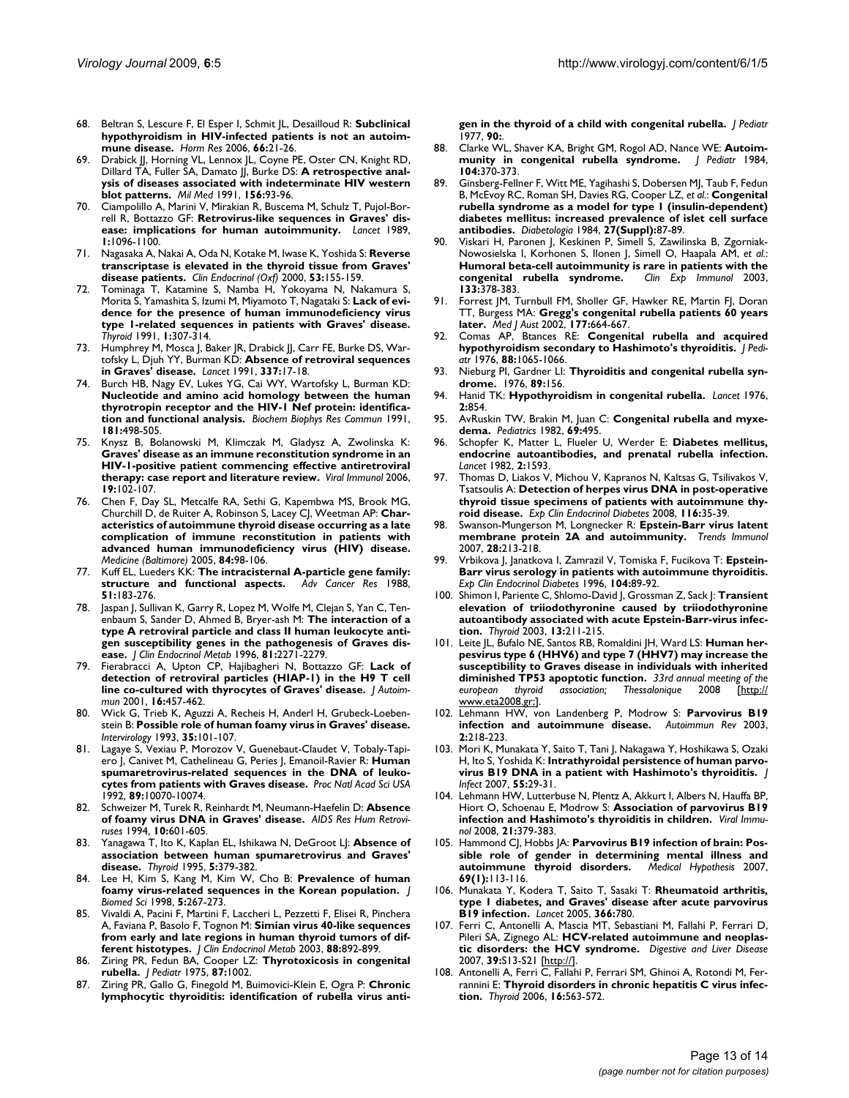- 68. Beltran S, Lescure F, El Esper I, Schmit JL, Desailloud R: **[Subclinical](http://www.ncbi.nlm.nih.gov/entrez/query.fcgi?cmd=Retrieve&db=PubMed&dopt=Abstract&list_uids=16685132) [hypothyroidism in HIV-infected patients is not an autoim](http://www.ncbi.nlm.nih.gov/entrez/query.fcgi?cmd=Retrieve&db=PubMed&dopt=Abstract&list_uids=16685132)[mune disease.](http://www.ncbi.nlm.nih.gov/entrez/query.fcgi?cmd=Retrieve&db=PubMed&dopt=Abstract&list_uids=16685132)** *Horm Res* 2006, **66:**21-26.
- 69. Drabick JJ, Horning VL, Lennox JL, Coyne PE, Oster CN, Knight RD, Dillard TA, Fuller SA, Damato JJ, Burke DS: **[A retrospective anal](http://www.ncbi.nlm.nih.gov/entrez/query.fcgi?cmd=Retrieve&db=PubMed&dopt=Abstract&list_uids=1900597)[ysis of diseases associated with indeterminate HIV western](http://www.ncbi.nlm.nih.gov/entrez/query.fcgi?cmd=Retrieve&db=PubMed&dopt=Abstract&list_uids=1900597) [blot patterns.](http://www.ncbi.nlm.nih.gov/entrez/query.fcgi?cmd=Retrieve&db=PubMed&dopt=Abstract&list_uids=1900597)** *Mil Med* 1991, **156:**93-96.
- 70. Ciampolillo A, Marini V, Mirakian R, Buscema M, Schulz T, Pujol-Borrell R, Bottazzo GF: **[Retrovirus-like sequences in Graves' dis](http://www.ncbi.nlm.nih.gov/entrez/query.fcgi?cmd=Retrieve&db=PubMed&dopt=Abstract&list_uids=2566049)[ease: implications for human autoimmunity.](http://www.ncbi.nlm.nih.gov/entrez/query.fcgi?cmd=Retrieve&db=PubMed&dopt=Abstract&list_uids=2566049)** *Lancet* 1989, **1:**1096-1100.
- 71. Nagasaka A, Nakai A, Oda N, Kotake M, Iwase K, Yoshida S: **[Reverse](http://www.ncbi.nlm.nih.gov/entrez/query.fcgi?cmd=Retrieve&db=PubMed&dopt=Abstract&list_uids=10931095) [transcriptase is elevated in the thyroid tissue from Graves'](http://www.ncbi.nlm.nih.gov/entrez/query.fcgi?cmd=Retrieve&db=PubMed&dopt=Abstract&list_uids=10931095) [disease patients.](http://www.ncbi.nlm.nih.gov/entrez/query.fcgi?cmd=Retrieve&db=PubMed&dopt=Abstract&list_uids=10931095)** *Clin Endocrinol (Oxf)* 2000, **53:**155-159.
- 72. Tominaga T, Katamine S, Namba H, Yokoyama N, Nakamura S, Morita S, Yamashita S, Izumi M, Miyamoto T, Nagataki S: **[Lack of evi](http://www.ncbi.nlm.nih.gov/entrez/query.fcgi?cmd=Retrieve&db=PubMed&dopt=Abstract&list_uids=1841730)[dence for the presence of human immunodeficiency virus](http://www.ncbi.nlm.nih.gov/entrez/query.fcgi?cmd=Retrieve&db=PubMed&dopt=Abstract&list_uids=1841730) type 1-related sequences in patients with Graves' disease.** *Thyroid* 1991, **1:**307-314.
- 73. Humphrey M, Mosca J, Baker JR, Drabick JJ, Carr FE, Burke DS, Wartofsky L, Djuh YY, Burman KD: **[Absence of retroviral sequences](http://www.ncbi.nlm.nih.gov/entrez/query.fcgi?cmd=Retrieve&db=PubMed&dopt=Abstract&list_uids=1670652) [in Graves' disease.](http://www.ncbi.nlm.nih.gov/entrez/query.fcgi?cmd=Retrieve&db=PubMed&dopt=Abstract&list_uids=1670652)** *Lancet* 1991, **337:**17-18.
- 74. Burch HB, Nagy EV, Lukes YG, Cai WY, Wartofsky L, Burman KD: **[Nucleotide and amino acid homology between the human](http://www.ncbi.nlm.nih.gov/entrez/query.fcgi?cmd=Retrieve&db=PubMed&dopt=Abstract&list_uids=1958218) thyrotropin receptor and the HIV-1 Nef protein: identifica[tion and functional analysis.](http://www.ncbi.nlm.nih.gov/entrez/query.fcgi?cmd=Retrieve&db=PubMed&dopt=Abstract&list_uids=1958218)** *Biochem Biophys Res Commun* 1991, **181:**498-505.
- 75. Knysz B, Bolanowski M, Klimczak M, Gladysz A, Zwolinska K: **[Graves' disease as an immune reconstitution syndrome in an](http://www.ncbi.nlm.nih.gov/entrez/query.fcgi?cmd=Retrieve&db=PubMed&dopt=Abstract&list_uids=16553555) HIV-1-positive patient commencing effective antiretroviral [therapy: case report and literature review.](http://www.ncbi.nlm.nih.gov/entrez/query.fcgi?cmd=Retrieve&db=PubMed&dopt=Abstract&list_uids=16553555)** *Viral Immunol* 2006, **19:**102-107.
- 76. Chen F, Day SL, Metcalfe RA, Sethi G, Kapembwa MS, Brook MG, Churchill D, de Ruiter A, Robinson S, Lacey CJ, Weetman AP: **[Char](http://www.ncbi.nlm.nih.gov/entrez/query.fcgi?cmd=Retrieve&db=PubMed&dopt=Abstract&list_uids=15758839)[acteristics of autoimmune thyroid disease occurring as a late](http://www.ncbi.nlm.nih.gov/entrez/query.fcgi?cmd=Retrieve&db=PubMed&dopt=Abstract&list_uids=15758839) complication of immune reconstitution in patients with advanced human immunodeficiency virus (HIV) disease.** *Medicine (Baltimore)* 2005, **84:**98-106.
- 77. Kuff EL, Lueders KK: **[The intracisternal A-particle gene family:](http://www.ncbi.nlm.nih.gov/entrez/query.fcgi?cmd=Retrieve&db=PubMed&dopt=Abstract&list_uids=3146900) [structure and functional aspects.](http://www.ncbi.nlm.nih.gov/entrez/query.fcgi?cmd=Retrieve&db=PubMed&dopt=Abstract&list_uids=3146900)** *Adv Cancer Res* 1988, **51:**183-276.
- 78. Jaspan J, Sullivan K, Garry R, Lopez M, Wolfe M, Clejan S, Yan C, Tenenbaum S, Sander D, Ahmed B, Bryer-ash M: **[The interaction of a](http://www.ncbi.nlm.nih.gov/entrez/query.fcgi?cmd=Retrieve&db=PubMed&dopt=Abstract&list_uids=8964863) [type A retroviral particle and class II human leukocyte anti](http://www.ncbi.nlm.nih.gov/entrez/query.fcgi?cmd=Retrieve&db=PubMed&dopt=Abstract&list_uids=8964863)gen susceptibility genes in the pathogenesis of Graves dis[ease.](http://www.ncbi.nlm.nih.gov/entrez/query.fcgi?cmd=Retrieve&db=PubMed&dopt=Abstract&list_uids=8964863)** *J Clin Endocrinol Metab* 1996, **81:**2271-2279.
- 79. Fierabracci A, Upton CP, Hajibagheri N, Bottazzo GF: **[Lack of](http://www.ncbi.nlm.nih.gov/entrez/query.fcgi?cmd=Retrieve&db=PubMed&dopt=Abstract&list_uids=11437494) [detection of retroviral particles \(HIAP-1\) in the H9 T cell](http://www.ncbi.nlm.nih.gov/entrez/query.fcgi?cmd=Retrieve&db=PubMed&dopt=Abstract&list_uids=11437494) [line co-cultured with thyrocytes of Graves' disease.](http://www.ncbi.nlm.nih.gov/entrez/query.fcgi?cmd=Retrieve&db=PubMed&dopt=Abstract&list_uids=11437494)** *J Autoimmun* 2001, **16:**457-462.
- 80. Wick G, Trieb K, Aguzzi A, Recheis H, Anderl H, Grubeck-Loebenstein B: **[Possible role of human foamy virus in Graves' disease.](http://www.ncbi.nlm.nih.gov/entrez/query.fcgi?cmd=Retrieve&db=PubMed&dopt=Abstract&list_uids=8407236)** *Intervirology* 1993, **35:**101-107.
- 81. Lagaye S, Vexiau P, Morozov V, Guenebaut-Claudet V, Tobaly-Tapiero J, Canivet M, Cathelineau G, Peries J, Emanoil-Ravier R: **[Human](http://www.ncbi.nlm.nih.gov/entrez/query.fcgi?cmd=Retrieve&db=PubMed&dopt=Abstract&list_uids=1332028) [spumaretrovirus-related sequences in the DNA of leuko](http://www.ncbi.nlm.nih.gov/entrez/query.fcgi?cmd=Retrieve&db=PubMed&dopt=Abstract&list_uids=1332028)[cytes from patients with Graves disease.](http://www.ncbi.nlm.nih.gov/entrez/query.fcgi?cmd=Retrieve&db=PubMed&dopt=Abstract&list_uids=1332028)** *Proc Natl Acad Sci USA* 1992, **89:**10070-10074.
- 82. Schweizer M, Turek R, Reinhardt M, Neumann-Haefelin D: **[Absence](http://www.ncbi.nlm.nih.gov/entrez/query.fcgi?cmd=Retrieve&db=PubMed&dopt=Abstract&list_uids=7917521) [of foamy virus DNA in Graves' disease.](http://www.ncbi.nlm.nih.gov/entrez/query.fcgi?cmd=Retrieve&db=PubMed&dopt=Abstract&list_uids=7917521)** *AIDS Res Hum Retroviruses* 1994, **10:**601-605.
- 83. Yanagawa T, Ito K, Kaplan EL, Ishikawa N, DeGroot LJ: **[Absence of](http://www.ncbi.nlm.nih.gov/entrez/query.fcgi?cmd=Retrieve&db=PubMed&dopt=Abstract&list_uids=8563476) [association between human spumaretrovirus and Graves'](http://www.ncbi.nlm.nih.gov/entrez/query.fcgi?cmd=Retrieve&db=PubMed&dopt=Abstract&list_uids=8563476) [disease.](http://www.ncbi.nlm.nih.gov/entrez/query.fcgi?cmd=Retrieve&db=PubMed&dopt=Abstract&list_uids=8563476)** *Thyroid* 1995, **5:**379-382.
- 84. Lee H, Kim S, Kang M, Kim W, Cho B: **[Prevalence of human](http://www.ncbi.nlm.nih.gov/entrez/query.fcgi?cmd=Retrieve&db=PubMed&dopt=Abstract&list_uids=9691219) [foamy virus-related sequences in the Korean population.](http://www.ncbi.nlm.nih.gov/entrez/query.fcgi?cmd=Retrieve&db=PubMed&dopt=Abstract&list_uids=9691219)** *J Biomed Sci* 1998, **5:**267-273.
- 85. Vivaldi A, Pacini F, Martini F, Laccheri L, Pezzetti F, Elisei R, Pinchera A, Faviana P, Basolo F, Tognon M: **[Simian virus 40-like sequences](http://www.ncbi.nlm.nih.gov/entrez/query.fcgi?cmd=Retrieve&db=PubMed&dopt=Abstract&list_uids=12574230) [from early and late regions in human thyroid tumors of dif](http://www.ncbi.nlm.nih.gov/entrez/query.fcgi?cmd=Retrieve&db=PubMed&dopt=Abstract&list_uids=12574230)[ferent histotypes.](http://www.ncbi.nlm.nih.gov/entrez/query.fcgi?cmd=Retrieve&db=PubMed&dopt=Abstract&list_uids=12574230)** *J Clin Endocrinol Metab* 2003, **88:**892-899.
- 86. Ziring PR, Fedun BA, Cooper LZ: **[Thyrotoxicosis in congenital](http://www.ncbi.nlm.nih.gov/entrez/query.fcgi?cmd=Retrieve&db=PubMed&dopt=Abstract&list_uids=1185372) [rubella.](http://www.ncbi.nlm.nih.gov/entrez/query.fcgi?cmd=Retrieve&db=PubMed&dopt=Abstract&list_uids=1185372)** *J Pediatr* 1975, **87:**1002.
- 87. Ziring PR, Gallo G, Finegold M, Buimovici-Klein E, Ogra P: **[Chronic](http://www.ncbi.nlm.nih.gov/entrez/query.fcgi?cmd=Retrieve&db=PubMed&dopt=Abstract&list_uids=576429) [lymphocytic thyroiditis: identification of rubella virus anti-](http://www.ncbi.nlm.nih.gov/entrez/query.fcgi?cmd=Retrieve&db=PubMed&dopt=Abstract&list_uids=576429)**

**[gen in the thyroid of a child with congenital rubella.](http://www.ncbi.nlm.nih.gov/entrez/query.fcgi?cmd=Retrieve&db=PubMed&dopt=Abstract&list_uids=576429)** *J Pediatr* 1977, **90:**.

- 88. Clarke WL, Shaver KA, Bright GM, Rogol AD, Nance WE: **[Autoim](http://www.ncbi.nlm.nih.gov/entrez/query.fcgi?cmd=Retrieve&db=PubMed&dopt=Abstract&list_uids=6368774)[munity in congenital rubella syndrome.](http://www.ncbi.nlm.nih.gov/entrez/query.fcgi?cmd=Retrieve&db=PubMed&dopt=Abstract&list_uids=6368774)** *J Pediatr* 1984, **104:**370-373.
- 89. Ginsberg-Fellner F, Witt ME, Yagihashi S, Dobersen MJ, Taub F, Fedun B, McEvoy RC, Roman SH, Davies RG, Cooper LZ, *et al.*: **[Congenital](http://www.ncbi.nlm.nih.gov/entrez/query.fcgi?cmd=Retrieve&db=PubMed&dopt=Abstract&list_uids=6383925) [rubella syndrome as a model for type 1 \(insulin-dependent\)](http://www.ncbi.nlm.nih.gov/entrez/query.fcgi?cmd=Retrieve&db=PubMed&dopt=Abstract&list_uids=6383925) diabetes mellitus: increased prevalence of islet cell surface [antibodies.](http://www.ncbi.nlm.nih.gov/entrez/query.fcgi?cmd=Retrieve&db=PubMed&dopt=Abstract&list_uids=6383925)** *Diabetologia* 1984, **27(Suppl):**87-89.
- 90. Viskari H, Paronen J, Keskinen P, Simell S, Zawilinska B, Zgorniak-Nowosielska I, Korhonen S, Ilonen J, Simell O, Haapala AM, *et al.*: **[Humoral beta-cell autoimmunity is rare in patients with the](http://www.ncbi.nlm.nih.gov/entrez/query.fcgi?cmd=Retrieve&db=PubMed&dopt=Abstract&list_uids=12930364) [congenital rubella syndrome.](http://www.ncbi.nlm.nih.gov/entrez/query.fcgi?cmd=Retrieve&db=PubMed&dopt=Abstract&list_uids=12930364)** *Clin Exp Immunol* 2003, **133:**378-383.
- 91. Forrest JM, Turnbull FM, Sholler GF, Hawker RE, Martin FJ, Doran TT, Burgess MA: **[Gregg's congenital rubella patients 60 years](http://www.ncbi.nlm.nih.gov/entrez/query.fcgi?cmd=Retrieve&db=PubMed&dopt=Abstract&list_uids=12463994) [later.](http://www.ncbi.nlm.nih.gov/entrez/query.fcgi?cmd=Retrieve&db=PubMed&dopt=Abstract&list_uids=12463994)** *Med J Aust* 2002, **177:**664-667.
- 92. Comas AP, Btances RE: **[Congenital rubella and acquired](http://www.ncbi.nlm.nih.gov/entrez/query.fcgi?cmd=Retrieve&db=PubMed&dopt=Abstract&list_uids=946816) [hypothyroidism secondary to Hashimoto's thyroiditis.](http://www.ncbi.nlm.nih.gov/entrez/query.fcgi?cmd=Retrieve&db=PubMed&dopt=Abstract&list_uids=946816)** *J Pediatr* 1976, **88:**1065-1066.
- 93. Nieburg PI, Gardner LI: **[Thyroiditis and congenital rubella syn](http://www.ncbi.nlm.nih.gov/entrez/query.fcgi?cmd=Retrieve&db=PubMed&dopt=Abstract&list_uids=932887)[drome.](http://www.ncbi.nlm.nih.gov/entrez/query.fcgi?cmd=Retrieve&db=PubMed&dopt=Abstract&list_uids=932887)** 1976, **89:**156.
- 94. Hanid TK: **[Hypothyroidism in congenital rubella.](http://www.ncbi.nlm.nih.gov/entrez/query.fcgi?cmd=Retrieve&db=PubMed&dopt=Abstract&list_uids=61528)** *Lancet* 1976, **2:**854.
- 95. AvRuskin TW, Brakin M, Juan C: **[Congenital rubella and myxe](http://www.ncbi.nlm.nih.gov/entrez/query.fcgi?cmd=Retrieve&db=PubMed&dopt=Abstract&list_uids=7070899)[dema.](http://www.ncbi.nlm.nih.gov/entrez/query.fcgi?cmd=Retrieve&db=PubMed&dopt=Abstract&list_uids=7070899)** *Pediatrics* 1982, **69:**495.
- 96. Schopfer K, Matter L, Flueler U, Werder E: **Diabetes mellitus, endocrine autoantibodies, and prenatal rubella infection.** *Lancet* 1982, **2:**1593.
- 97. Thomas D, Liakos V, Michou V, Kapranos N, Kaltsas G, Tsilivakos V, Tsatsoulis A: **[Detection of herpes virus DNA in post-operative](http://www.ncbi.nlm.nih.gov/entrez/query.fcgi?cmd=Retrieve&db=PubMed&dopt=Abstract&list_uids=18240111) [thyroid tissue specimens of patients with autoimmune thy](http://www.ncbi.nlm.nih.gov/entrez/query.fcgi?cmd=Retrieve&db=PubMed&dopt=Abstract&list_uids=18240111)[roid disease.](http://www.ncbi.nlm.nih.gov/entrez/query.fcgi?cmd=Retrieve&db=PubMed&dopt=Abstract&list_uids=18240111)** *Exp Clin Endocrinol Diabetes* 2008, **116:**35-39.
- 98. Swanson-Mungerson M, Longnecker R: **[Epstein-Barr virus latent](http://www.ncbi.nlm.nih.gov/entrez/query.fcgi?cmd=Retrieve&db=PubMed&dopt=Abstract&list_uids=17398159) [membrane protein 2A and autoimmunity.](http://www.ncbi.nlm.nih.gov/entrez/query.fcgi?cmd=Retrieve&db=PubMed&dopt=Abstract&list_uids=17398159)** *Trends Immunol* 2007, **28:**213-218.
- 99. Vrbikova J, Janatkova I, Zamrazil V, Tomiska F, Fucikova T: **[Epstein-](http://www.ncbi.nlm.nih.gov/entrez/query.fcgi?cmd=Retrieve&db=PubMed&dopt=Abstract&list_uids=8750577)[Barr virus serology in patients with autoimmune thyroiditis.](http://www.ncbi.nlm.nih.gov/entrez/query.fcgi?cmd=Retrieve&db=PubMed&dopt=Abstract&list_uids=8750577)** *Exp Clin Endocrinol Diabetes* 1996, **104:**89-92.
- 100. Shimon I, Pariente C, Shlomo-David J, Grossman Z, Sack J: **[Transient](http://www.ncbi.nlm.nih.gov/entrez/query.fcgi?cmd=Retrieve&db=PubMed&dopt=Abstract&list_uids=12699597) [elevation of triiodothyronine caused by triiodothyronine](http://www.ncbi.nlm.nih.gov/entrez/query.fcgi?cmd=Retrieve&db=PubMed&dopt=Abstract&list_uids=12699597) autoantibody associated with acute Epstein-Barr-virus infec[tion.](http://www.ncbi.nlm.nih.gov/entrez/query.fcgi?cmd=Retrieve&db=PubMed&dopt=Abstract&list_uids=12699597)** *Thyroid* 2003, **13:**211-215.
- 101. Leite JL, Bufalo NE, Santos RB, Romaldini JH, Ward LS: **Human herpesvirus type 6 (HHV6) and type 7 (HHV7) may increase the susceptibility to Graves disease in individuals with inherited diminished TP53 apoptotic function.** *33rd annual meeting of the european thyroid association; Thessalonique* 2008 [\[http://](http://www.eta2008.gr;) [www.eta2008.gr;](http://www.eta2008.gr;)].
- 102. Lehmann HW, von Landenberg P, Modrow S: **[Parvovirus B19](http://www.ncbi.nlm.nih.gov/entrez/query.fcgi?cmd=Retrieve&db=PubMed&dopt=Abstract&list_uids=12848949) [infection and autoimmune disease.](http://www.ncbi.nlm.nih.gov/entrez/query.fcgi?cmd=Retrieve&db=PubMed&dopt=Abstract&list_uids=12848949)** *Autoimmun Rev* 2003, **2:**218-223.
- 103. Mori K, Munakata Y, Saito T, Tani J, Nakagawa Y, Hoshikawa S, Ozaki H, Ito S, Yoshida K: **Intrathyroidal persistence of human parvovirus B19 DNA in a patient with Hashimoto's thyroiditis.** *J Infect* 2007, **55:**29-31.
- 104. Lehmann HW, Lutterbuse N, Plentz A, Akkurt I, Albers N, Hauffa BP, Hiort O, Schoenau E, Modrow S: **[Association of parvovirus B19](http://www.ncbi.nlm.nih.gov/entrez/query.fcgi?cmd=Retrieve&db=PubMed&dopt=Abstract&list_uids=18788945) [infection and Hashimoto's thyroiditis in children.](http://www.ncbi.nlm.nih.gov/entrez/query.fcgi?cmd=Retrieve&db=PubMed&dopt=Abstract&list_uids=18788945)** *Viral Immunol* 2008, **21:**379-383.
- 105. Hammond CJ, Hobbs JA: **[Parvovirus B19 infection of brain: Pos](http://www.ncbi.nlm.nih.gov/entrez/query.fcgi?cmd=Retrieve&db=PubMed&dopt=Abstract&list_uids=17196758)[sible role of gender in determining mental illness and](http://www.ncbi.nlm.nih.gov/entrez/query.fcgi?cmd=Retrieve&db=PubMed&dopt=Abstract&list_uids=17196758) [autoimmune thyroid disorders.](http://www.ncbi.nlm.nih.gov/entrez/query.fcgi?cmd=Retrieve&db=PubMed&dopt=Abstract&list_uids=17196758)** *Medical Hypothesis* 2007, **69(1):**113-116.
- 106. Munakata Y, Kodera T, Saito T, Sasaki T: **[Rheumatoid arthritis,](http://www.ncbi.nlm.nih.gov/entrez/query.fcgi?cmd=Retrieve&db=PubMed&dopt=Abstract&list_uids=16125597) [type 1 diabetes, and Graves' disease after acute parvovirus](http://www.ncbi.nlm.nih.gov/entrez/query.fcgi?cmd=Retrieve&db=PubMed&dopt=Abstract&list_uids=16125597) [B19 infection.](http://www.ncbi.nlm.nih.gov/entrez/query.fcgi?cmd=Retrieve&db=PubMed&dopt=Abstract&list_uids=16125597)** *Lancet* 2005, **366:**780.
- 107. Ferri C, Antonelli A, Mascia MT, Sebastiani M, Fallahi P, Ferrari D, Pileri SA, Zignego AL: **[HCV-related autoimmune and neoplas](http://www.ncbi.nlm.nih.gov/entrez/query.fcgi?cmd=Retrieve&db=PubMed&dopt=Abstract&list_uids=17936215)[tic disorders: the HCV syndrome.](http://www.ncbi.nlm.nih.gov/entrez/query.fcgi?cmd=Retrieve&db=PubMed&dopt=Abstract&list_uids=17936215)** *Digestive and Liver Disease* 2007, **39:**S13-S21 [<http://>].
- 108. Antonelli A, Ferri C, Fallahi P, Ferrari SM, Ghinoi A, Rotondi M, Ferrannini E: **[Thyroid disorders in chronic hepatitis C virus infec](http://www.ncbi.nlm.nih.gov/entrez/query.fcgi?cmd=Retrieve&db=PubMed&dopt=Abstract&list_uids=16839258)[tion.](http://www.ncbi.nlm.nih.gov/entrez/query.fcgi?cmd=Retrieve&db=PubMed&dopt=Abstract&list_uids=16839258)** *Thyroid* 2006, **16:**563-572.